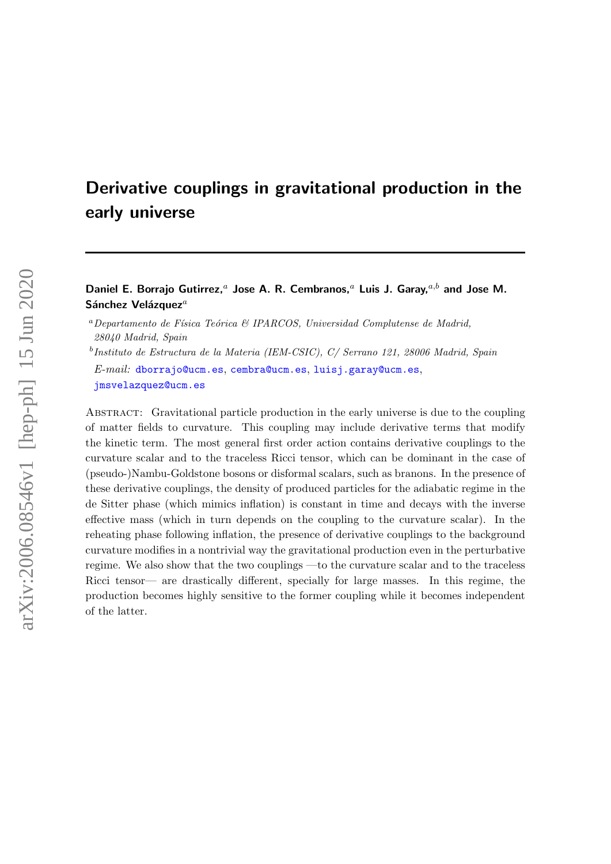# Derivative couplings in gravitational production in the early universe

Daniel E. Borrajo Gutirrez,<sup>a</sup> Jose A. R. Cembranos,<sup>a</sup> Luis J. Garay,<sup>a,b</sup> and Jose M. Sánchez Velázquez $^a$ 

<sup>a</sup>Departamento de Física Teórica & IPARCOS, Universidad Complutense de Madrid, 28040 Madrid, Spain

<sup>b</sup>Instituto de Estructura de la Materia (IEM-CSIC), C/ Serrano 121, 28006 Madrid, Spain

E-mail: [dborrajo@ucm.es](mailto:dborrajo@ucm.es), [cembra@ucm.es](mailto:cembra@ucm.es), [luisj.garay@ucm.es](mailto:luisj.garay@ucm.es), [jmsvelazquez@ucm.es](mailto:jmsvelazquez@ucm.es)

Abstract: Gravitational particle production in the early universe is due to the coupling of matter fields to curvature. This coupling may include derivative terms that modify the kinetic term. The most general first order action contains derivative couplings to the curvature scalar and to the traceless Ricci tensor, which can be dominant in the case of (pseudo-)Nambu-Goldstone bosons or disformal scalars, such as branons. In the presence of these derivative couplings, the density of produced particles for the adiabatic regime in the de Sitter phase (which mimics inflation) is constant in time and decays with the inverse effective mass (which in turn depends on the coupling to the curvature scalar). In the reheating phase following inflation, the presence of derivative couplings to the background curvature modifies in a nontrivial way the gravitational production even in the perturbative regime. We also show that the two couplings —to the curvature scalar and to the traceless Ricci tensor— are drastically different, specially for large masses. In this regime, the production becomes highly sensitive to the former coupling while it becomes independent of the latter.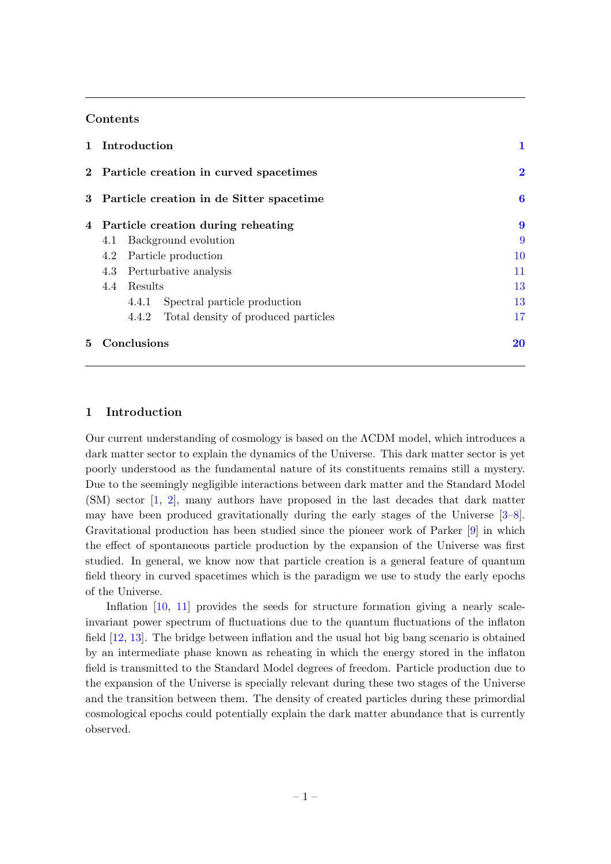# Contents

|   | 1 Introduction                             |          |                                     |    |
|---|--------------------------------------------|----------|-------------------------------------|----|
|   | 2 Particle creation in curved spacetimes   | $\bf{2}$ |                                     |    |
|   | 3 Particle creation in de Sitter spacetime |          |                                     | 6  |
|   | 4 Particle creation during reheating       |          |                                     | 9  |
|   | 4.1                                        |          | Background evolution                | 9  |
|   | Particle production<br>4.2                 |          |                                     | 10 |
|   | Perturbative analysis<br>4.3               |          |                                     | 11 |
|   | Results<br>4.4                             |          | 13                                  |    |
|   |                                            | 4.4.1    | Spectral particle production        | 13 |
|   |                                            | 4.4.2    | Total density of produced particles | 17 |
| 5 | Conclusions                                |          |                                     | 20 |

# <span id="page-1-0"></span>1 Introduction

Our current understanding of cosmology is based on the ΛCDM model, which introduces a dark matter sector to explain the dynamics of the Universe. This dark matter sector is yet poorly understood as the fundamental nature of its constituents remains still a mystery. Due to the seemingly negligible interactions between dark matter and the Standard Model (SM) sector [\[1,](#page-22-0) [2\]](#page-22-1), many authors have proposed in the last decades that dark matter may have been produced gravitationally during the early stages of the Universe [\[3–](#page-22-2)[8\]](#page-22-3). Gravitational production has been studied since the pioneer work of Parker [\[9\]](#page-22-4) in which the effect of spontaneous particle production by the expansion of the Universe was first studied. In general, we know now that particle creation is a general feature of quantum field theory in curved spacetimes which is the paradigm we use to study the early epochs of the Universe.

Inflation [\[10,](#page-22-5) [11\]](#page-22-6) provides the seeds for structure formation giving a nearly scaleinvariant power spectrum of fluctuations due to the quantum fluctuations of the inflaton field [\[12,](#page-22-7) [13\]](#page-22-8). The bridge between inflation and the usual hot big bang scenario is obtained by an intermediate phase known as reheating in which the energy stored in the inflaton field is transmitted to the Standard Model degrees of freedom. Particle production due to the expansion of the Universe is specially relevant during these two stages of the Universe and the transition between them. The density of created particles during these primordial cosmological epochs could potentially explain the dark matter abundance that is currently observed.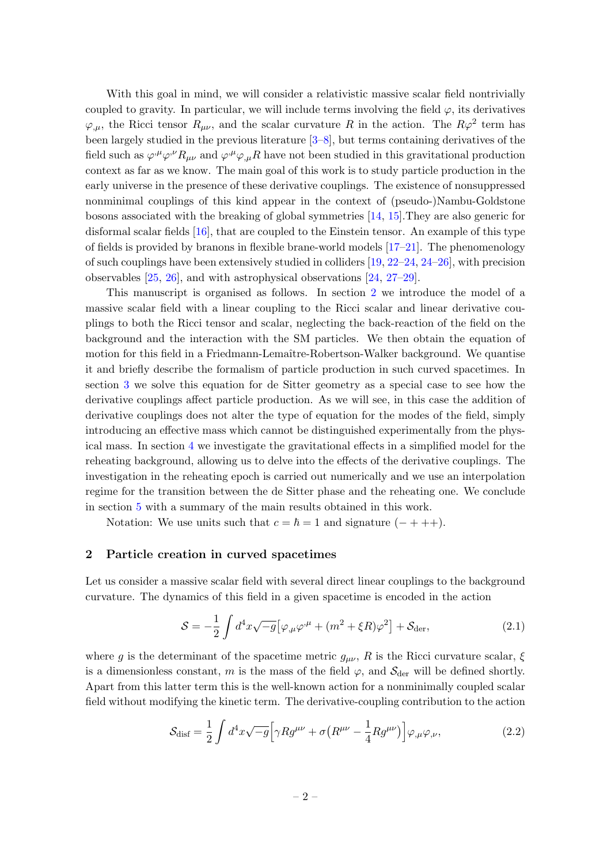With this goal in mind, we will consider a relativistic massive scalar field nontrivially coupled to gravity. In particular, we will include terms involving the field  $\varphi$ , its derivatives  $\varphi_{,\mu}$ , the Ricci tensor  $R_{\mu\nu}$ , and the scalar curvature R in the action. The  $R\varphi^2$  term has been largely studied in the previous literature [\[3–](#page-22-2)[8\]](#page-22-3), but terms containing derivatives of the field such as  $\varphi^{,\mu}\varphi^{,\nu}R_{\mu\nu}$  and  $\varphi^{,\mu}\varphi_{,\mu}R$  have not been studied in this gravitational production context as far as we know. The main goal of this work is to study particle production in the early universe in the presence of these derivative couplings. The existence of nonsuppressed nonminimal couplings of this kind appear in the context of (pseudo-)Nambu-Goldstone bosons associated with the breaking of global symmetries [\[14,](#page-23-0) [15\]](#page-23-1).They are also generic for disformal scalar fields [\[16\]](#page-23-2), that are coupled to the Einstein tensor. An example of this type of fields is provided by branons in flexible brane-world models [\[17–](#page-23-3)[21\]](#page-23-4). The phenomenology of such couplings have been extensively studied in colliders  $[19, 22-24, 24-26]$  $[19, 22-24, 24-26]$  $[19, 22-24, 24-26]$  $[19, 22-24, 24-26]$  $[19, 22-24, 24-26]$ , with precision observables [\[25,](#page-23-9) [26\]](#page-23-8), and with astrophysical observations [\[24,](#page-23-7) [27–](#page-23-10)[29\]](#page-23-11).

This manuscript is organised as follows. In section [2](#page-2-0) we introduce the model of a massive scalar field with a linear coupling to the Ricci scalar and linear derivative couplings to both the Ricci tensor and scalar, neglecting the back-reaction of the field on the background and the interaction with the SM particles. We then obtain the equation of motion for this field in a Friedmann-Lemaître-Robertson-Walker background. We quantise it and briefly describe the formalism of particle production in such curved spacetimes. In section [3](#page-6-0) we solve this equation for de Sitter geometry as a special case to see how the derivative couplings affect particle production. As we will see, in this case the addition of derivative couplings does not alter the type of equation for the modes of the field, simply introducing an effective mass which cannot be distinguished experimentally from the physical mass. In section [4](#page-9-0) we investigate the gravitational effects in a simplified model for the reheating background, allowing us to delve into the effects of the derivative couplings. The investigation in the reheating epoch is carried out numerically and we use an interpolation regime for the transition between the de Sitter phase and the reheating one. We conclude in section [5](#page-20-0) with a summary of the main results obtained in this work.

Notation: We use units such that  $c = \hbar = 1$  and signature  $(- + + +)$ .

## <span id="page-2-0"></span>2 Particle creation in curved spacetimes

Let us consider a massive scalar field with several direct linear couplings to the background curvature. The dynamics of this field in a given spacetime is encoded in the action

<span id="page-2-1"></span>
$$
S = -\frac{1}{2} \int d^4x \sqrt{-g} \left[ \varphi_{,\mu} \varphi^{,\mu} + (m^2 + \xi R) \varphi^2 \right] + \mathcal{S}_{\text{der}},\tag{2.1}
$$

where g is the determinant of the spacetime metric  $g_{\mu\nu}$ , R is the Ricci curvature scalar,  $\xi$ is a dimensionless constant, m is the mass of the field  $\varphi$ , and  $\mathcal{S}_{\text{der}}$  will be defined shortly. Apart from this latter term this is the well-known action for a nonminimally coupled scalar field without modifying the kinetic term. The derivative-coupling contribution to the action

$$
\mathcal{S}_{\text{disf}} = \frac{1}{2} \int d^4x \sqrt{-g} \Big[ \gamma R g^{\mu\nu} + \sigma \big( R^{\mu\nu} - \frac{1}{4} R g^{\mu\nu} \big) \Big] \varphi_{,\mu} \varphi_{,\nu}, \tag{2.2}
$$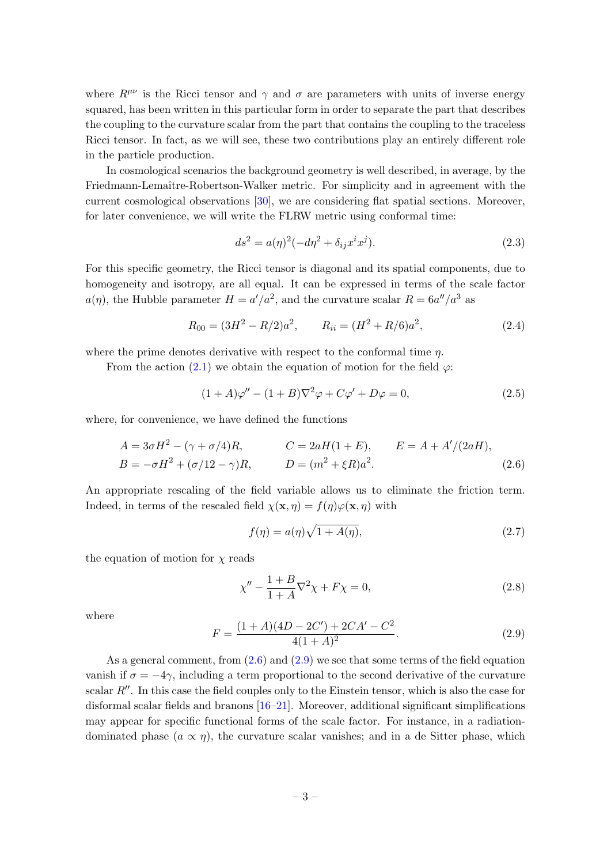where  $R^{\mu\nu}$  is the Ricci tensor and  $\gamma$  and  $\sigma$  are parameters with units of inverse energy squared, has been written in this particular form in order to separate the part that describes the coupling to the curvature scalar from the part that contains the coupling to the traceless Ricci tensor. In fact, as we will see, these two contributions play an entirely different role in the particle production.

In cosmological scenarios the background geometry is well described, in average, by the Friedmann-Lemaître-Robertson-Walker metric. For simplicity and in agreement with the current cosmological observations [\[30\]](#page-23-12), we are considering flat spatial sections. Moreover, for later convenience, we will write the FLRW metric using conformal time:

<span id="page-3-3"></span>
$$
ds^{2} = a(\eta)^{2}(-d\eta^{2} + \delta_{ij}x^{i}x^{j}).
$$
\n(2.3)

For this specific geometry, the Ricci tensor is diagonal and its spatial components, due to homogeneity and isotropy, are all equal. It can be expressed in terms of the scale factor  $a(\eta)$ , the Hubble parameter  $H = a'/a^2$ , and the curvature scalar  $R = 6a''/a^3$  as

<span id="page-3-2"></span>
$$
R_{00} = (3H^2 - R/2)a^2, \qquad R_{ii} = (H^2 + R/6)a^2,
$$
\n(2.4)

where the prime denotes derivative with respect to the conformal time  $\eta$ .

From the action [\(2.1\)](#page-2-1) we obtain the equation of motion for the field  $\varphi$ :

$$
(1+A)\varphi'' - (1+B)\nabla^2\varphi + C\varphi' + D\varphi = 0,
$$
\n(2.5)

where, for convenience, we have defined the functions

$$
A = 3\sigma H^{2} - (\gamma + \sigma/4)R, \qquad C = 2aH(1 + E), \qquad E = A + A'/(2aH),
$$
  
\n
$$
B = -\sigma H^{2} + (\sigma/12 - \gamma)R, \qquad D = (m^{2} + \xi R)a^{2}.
$$
\n(2.6)

An appropriate rescaling of the field variable allows us to eliminate the friction term. Indeed, in terms of the rescaled field  $\chi(\mathbf{x}, \eta) = f(\eta)\varphi(\mathbf{x}, \eta)$  with

<span id="page-3-0"></span>
$$
f(\eta) = a(\eta)\sqrt{1 + A(\eta)},\tag{2.7}
$$

the equation of motion for  $\chi$  reads

$$
\chi'' - \frac{1+B}{1+A} \nabla^2 \chi + F\chi = 0,
$$
\n(2.8)

where

<span id="page-3-1"></span>
$$
F = \frac{(1+A)(4D - 2C') + 2CA' - C^2}{4(1+A)^2}.
$$
\n(2.9)

As a general comment, from  $(2.6)$  and  $(2.9)$  we see that some terms of the field equation vanish if  $\sigma = -4\gamma$ , including a term proportional to the second derivative of the curvature scalar  $R''$ . In this case the field couples only to the Einstein tensor, which is also the case for disformal scalar fields and branons [\[16–](#page-23-2)[21\]](#page-23-4). Moreover, additional significant simplifications may appear for specific functional forms of the scale factor. For instance, in a radiationdominated phase  $(a \propto \eta)$ , the curvature scalar vanishes; and in a de Sitter phase, which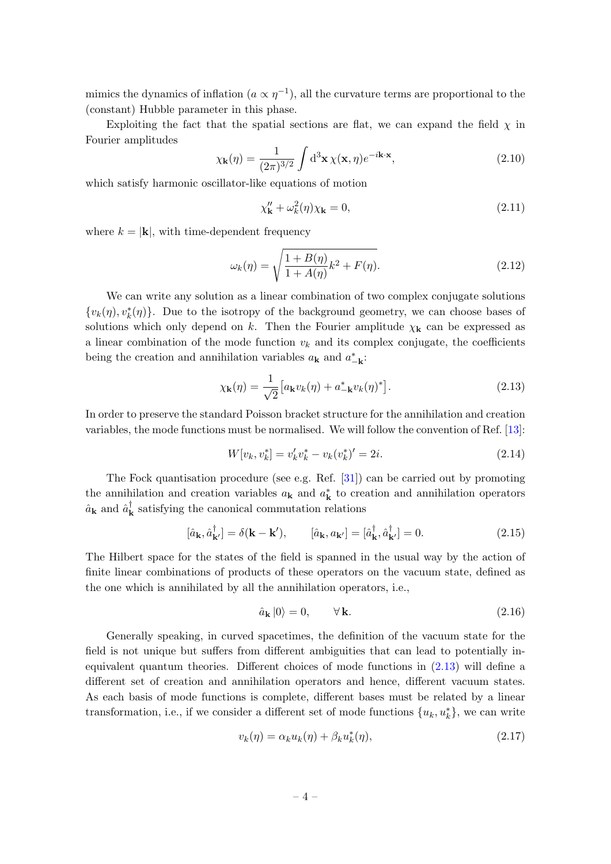mimics the dynamics of inflation  $(a \propto \eta^{-1})$ , all the curvature terms are proportional to the (constant) Hubble parameter in this phase.

Exploiting the fact that the spatial sections are flat, we can expand the field  $\chi$  in Fourier amplitudes

$$
\chi_{\mathbf{k}}(\eta) = \frac{1}{(2\pi)^{3/2}} \int d^3 \mathbf{x} \,\chi(\mathbf{x}, \eta) e^{-i\mathbf{k} \cdot \mathbf{x}},\tag{2.10}
$$

which satisfy harmonic oscillator-like equations of motion

<span id="page-4-4"></span>
$$
\chi_{\mathbf{k}}'' + \omega_k^2(\eta)\chi_{\mathbf{k}} = 0,\tag{2.11}
$$

where  $k = |\mathbf{k}|$ , with time-dependent frequency

<span id="page-4-3"></span>
$$
\omega_k(\eta) = \sqrt{\frac{1 + B(\eta)}{1 + A(\eta)} k^2 + F(\eta)}.
$$
\n(2.12)

We can write any solution as a linear combination of two complex conjugate solutions  ${v_k(\eta), v_k^*(\eta)}$ . Due to the isotropy of the background geometry, we can choose bases of solutions which only depend on k. Then the Fourier amplitude  $\chi_{\mathbf{k}}$  can be expressed as a linear combination of the mode function  $v_k$  and its complex conjugate, the coefficients being the creation and annihilation variables  $a_{\mathbf{k}}$  and  $a_{-\mathbf{k}}^*$ :

<span id="page-4-0"></span>
$$
\chi_{\mathbf{k}}(\eta) = \frac{1}{\sqrt{2}} \left[ a_{\mathbf{k}} v_k(\eta) + a_{-\mathbf{k}}^* v_k(\eta)^* \right]. \tag{2.13}
$$

In order to preserve the standard Poisson bracket structure for the annihilation and creation variables, the mode functions must be normalised. We will follow the convention of Ref. [\[13\]](#page-22-8):

<span id="page-4-2"></span>
$$
W[v_k, v_k^*] = v_k' v_k^* - v_k (v_k^*)' = 2i.
$$
\n(2.14)

The Fock quantisation procedure (see e.g. Ref. [\[31\]](#page-23-13)) can be carried out by promoting the annihilation and creation variables  $a_{\mathbf{k}}$  and  $a_{\mathbf{k}}^*$  to creation and annihilation operators  $\hat{a}_{\mathbf{k}}$  and  $\hat{a}_{\mathbf{k}}^{\dagger}$  $\mathbf{k}$  satisfying the canonical commutation relations

$$
[\hat{a}_{\mathbf{k}}, \hat{a}_{\mathbf{k'}}^{\dagger}] = \delta(\mathbf{k} - \mathbf{k'}), \qquad [\hat{a}_{\mathbf{k}}, a_{\mathbf{k'}}] = [\hat{a}_{\mathbf{k}}^{\dagger}, \hat{a}_{\mathbf{k'}}^{\dagger}] = 0. \tag{2.15}
$$

The Hilbert space for the states of the field is spanned in the usual way by the action of finite linear combinations of products of these operators on the vacuum state, defined as the one which is annihilated by all the annihilation operators, i.e.,

$$
\hat{a}_{\mathbf{k}}|0\rangle = 0, \qquad \forall \mathbf{k}.\tag{2.16}
$$

Generally speaking, in curved spacetimes, the definition of the vacuum state for the field is not unique but suffers from different ambiguities that can lead to potentially inequivalent quantum theories. Different choices of mode functions in [\(2.13\)](#page-4-0) will define a different set of creation and annihilation operators and hence, different vacuum states. As each basis of mode functions is complete, different bases must be related by a linear transformation, i.e., if we consider a different set of mode functions  $\{u_k, u_k^*\}$ , we can write

<span id="page-4-1"></span>
$$
v_k(\eta) = \alpha_k u_k(\eta) + \beta_k u_k^*(\eta), \qquad (2.17)
$$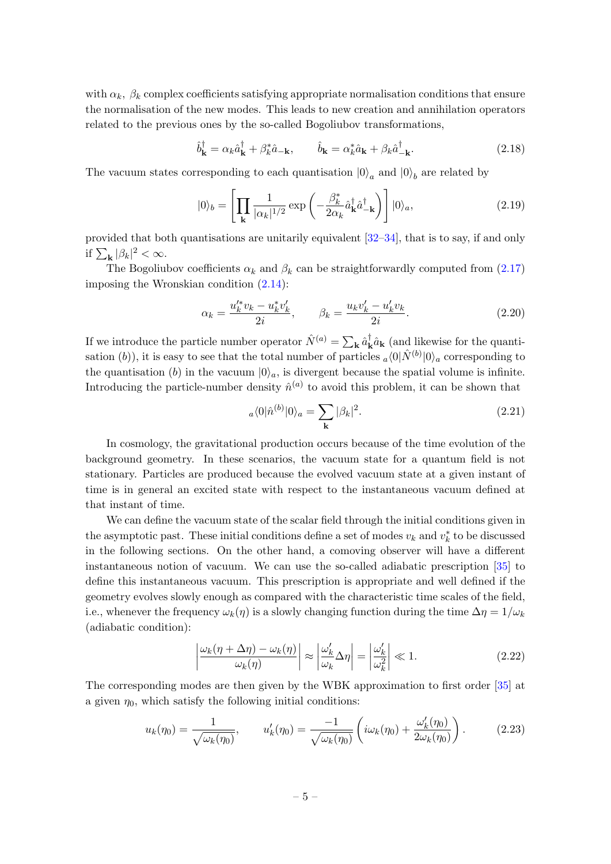with  $\alpha_k$ ,  $\beta_k$  complex coefficients satisfying appropriate normalisation conditions that ensure the normalisation of the new modes. This leads to new creation and annihilation operators related to the previous ones by the so-called Bogoliubov transformations,

$$
\hat{b}_{\mathbf{k}}^{\dagger} = \alpha_k \hat{a}_{\mathbf{k}}^{\dagger} + \beta_k^* \hat{a}_{-\mathbf{k}}, \qquad \hat{b}_{\mathbf{k}} = \alpha_k^* \hat{a}_{\mathbf{k}} + \beta_k \hat{a}_{-\mathbf{k}}^{\dagger}.
$$
\n(2.18)

The vacuum states corresponding to each quantisation  $|0\rangle_a$  and  $|0\rangle_b$  are related by

$$
|0\rangle_b = \left[\prod_{\mathbf{k}} \frac{1}{|\alpha_k|^{1/2}} \exp\left(-\frac{\beta_k^*}{2\alpha_k} \hat{a}_{\mathbf{k}}^\dagger \hat{a}_{-\mathbf{k}}^\dagger\right)\right] |0\rangle_a,\tag{2.19}
$$

provided that both quantisations are unitarily equivalent [\[32–](#page-23-14)[34\]](#page-23-15), that is to say, if and only if  $\sum_{\mathbf{k}} |\beta_k|^2 < \infty$ .

The Bogoliubov coefficients  $\alpha_k$  and  $\beta_k$  can be straightforwardly computed from [\(2.17\)](#page-4-1) imposing the Wronskian condition [\(2.14\)](#page-4-2):

<span id="page-5-1"></span>
$$
\alpha_k = \frac{u_k'^* v_k - u_k^* v_k'}{2i}, \qquad \beta_k = \frac{u_k v_k' - u_k' v_k}{2i}.
$$
\n(2.20)

If we introduce the particle number operator  $\hat{N}^{(a)} = \sum_{\mathbf{k}} \hat{a}_{\mathbf{k}}^{\dagger}$  $_{\mathbf{k}}^{\dagger} \hat{a}_{\mathbf{k}}$  (and likewise for the quantisation (b)), it is easy to see that the total number of particles  $_a\langle 0|\hat{N}^{(b)}|0\rangle_a$  corresponding to the quantisation (b) in the vacuum  $|0\rangle_a$ , is divergent because the spatial volume is infinite. Introducing the particle-number density  $\hat{n}^{(a)}$  to avoid this problem, it can be shown that

$$
a\langle 0|\hat{n}^{(b)}|0\rangle_a = \sum_{\mathbf{k}} |\beta_k|^2.
$$
 (2.21)

In cosmology, the gravitational production occurs because of the time evolution of the background geometry. In these scenarios, the vacuum state for a quantum field is not stationary. Particles are produced because the evolved vacuum state at a given instant of time is in general an excited state with respect to the instantaneous vacuum defined at that instant of time.

We can define the vacuum state of the scalar field through the initial conditions given in the asymptotic past. These initial conditions define a set of modes  $v_k$  and  $v_k^*$  to be discussed in the following sections. On the other hand, a comoving observer will have a different instantaneous notion of vacuum. We can use the so-called adiabatic prescription [\[35\]](#page-24-0) to define this instantaneous vacuum. This prescription is appropriate and well defined if the geometry evolves slowly enough as compared with the characteristic time scales of the field, i.e., whenever the frequency  $\omega_k(\eta)$  is a slowly changing function during the time  $\Delta \eta = 1/\omega_k$ (adiabatic condition):

<span id="page-5-2"></span><span id="page-5-0"></span>
$$
\left| \frac{\omega_k(\eta + \Delta \eta) - \omega_k(\eta)}{\omega_k(\eta)} \right| \approx \left| \frac{\omega'_k}{\omega_k} \Delta \eta \right| = \left| \frac{\omega'_k}{\omega_k^2} \right| \ll 1. \tag{2.22}
$$

The corresponding modes are then given by the WBK approximation to first order [\[35\]](#page-24-0) at a given  $\eta_0$ , which satisfy the following initial conditions:

$$
u_k(\eta_0) = \frac{1}{\sqrt{\omega_k(\eta_0)}}, \qquad u'_k(\eta_0) = \frac{-1}{\sqrt{\omega_k(\eta_0)}} \left( i\omega_k(\eta_0) + \frac{\omega'_k(\eta_0)}{2\omega_k(\eta_0)} \right). \tag{2.23}
$$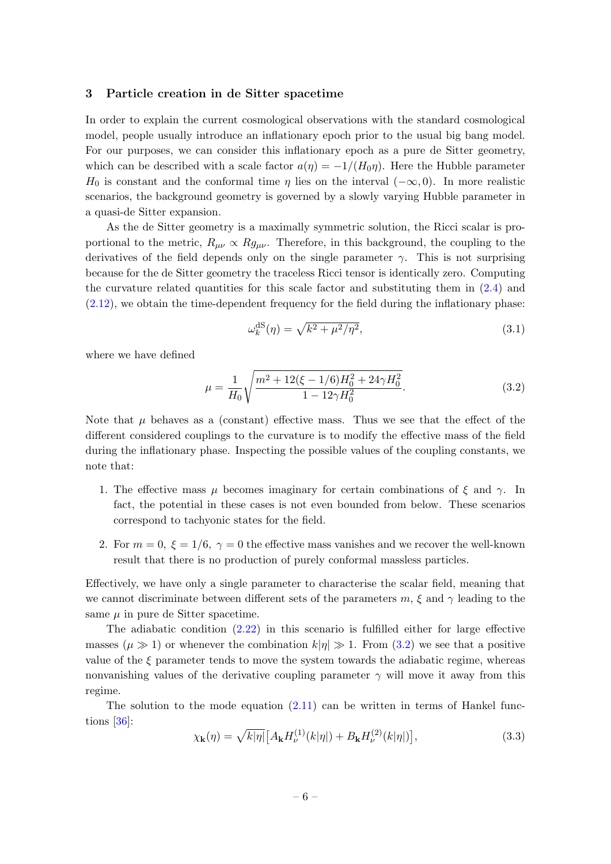#### <span id="page-6-0"></span>3 Particle creation in de Sitter spacetime

In order to explain the current cosmological observations with the standard cosmological model, people usually introduce an inflationary epoch prior to the usual big bang model. For our purposes, we can consider this inflationary epoch as a pure de Sitter geometry, which can be described with a scale factor  $a(\eta) = -1/(H_0\eta)$ . Here the Hubble parameter H<sub>0</sub> is constant and the conformal time  $\eta$  lies on the interval  $(-\infty, 0)$ . In more realistic scenarios, the background geometry is governed by a slowly varying Hubble parameter in a quasi-de Sitter expansion.

As the de Sitter geometry is a maximally symmetric solution, the Ricci scalar is proportional to the metric,  $R_{\mu\nu} \propto R g_{\mu\nu}$ . Therefore, in this background, the coupling to the derivatives of the field depends only on the single parameter  $\gamma$ . This is not surprising because for the de Sitter geometry the traceless Ricci tensor is identically zero. Computing the curvature related quantities for this scale factor and substituting them in  $(2.4)$  and [\(2.12\)](#page-4-3), we obtain the time-dependent frequency for the field during the inflationary phase:

$$
\omega_k^{\text{dS}}(\eta) = \sqrt{k^2 + \mu^2/\eta^2},\tag{3.1}
$$

where we have defined

<span id="page-6-1"></span>
$$
\mu = \frac{1}{H_0} \sqrt{\frac{m^2 + 12(\xi - 1/6)H_0^2 + 24\gamma H_0^2}{1 - 12\gamma H_0^2}}.
$$
\n(3.2)

Note that  $\mu$  behaves as a (constant) effective mass. Thus we see that the effect of the different considered couplings to the curvature is to modify the effective mass of the field during the inflationary phase. Inspecting the possible values of the coupling constants, we note that:

- 1. The effective mass  $\mu$  becomes imaginary for certain combinations of  $\xi$  and  $\gamma$ . In fact, the potential in these cases is not even bounded from below. These scenarios correspond to tachyonic states for the field.
- 2. For  $m = 0$ ,  $\xi = 1/6$ ,  $\gamma = 0$  the effective mass vanishes and we recover the well-known result that there is no production of purely conformal massless particles.

Effectively, we have only a single parameter to characterise the scalar field, meaning that we cannot discriminate between different sets of the parameters m,  $\xi$  and  $\gamma$  leading to the same  $\mu$  in pure de Sitter spacetime.

The adiabatic condition [\(2.22\)](#page-5-0) in this scenario is fulfilled either for large effective masses  $(\mu \gg 1)$  or whenever the combination  $k|\eta| \gg 1$ . From [\(3.2\)](#page-6-1) we see that a positive value of the  $\xi$  parameter tends to move the system towards the adiabatic regime, whereas nonvanishing values of the derivative coupling parameter  $\gamma$  will move it away from this regime.

The solution to the mode equation  $(2.11)$  can be written in terms of Hankel functions [\[36\]](#page-24-1):

<span id="page-6-2"></span>
$$
\chi_{\mathbf{k}}(\eta) = \sqrt{k|\eta|} \left[ A_{\mathbf{k}} H_{\nu}^{(1)}(k|\eta|) + B_{\mathbf{k}} H_{\nu}^{(2)}(k|\eta|) \right],\tag{3.3}
$$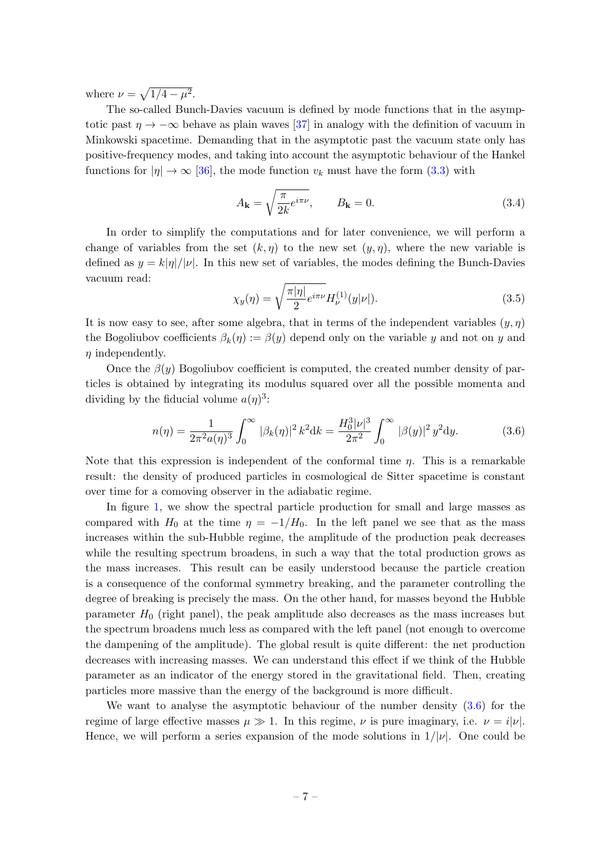where  $\nu = \sqrt{1/4 - \mu^2}$ .

The so-called Bunch-Davies vacuum is defined by mode functions that in the asymptotic past  $\eta \to -\infty$  behave as plain waves [\[37\]](#page-24-2) in analogy with the definition of vacuum in Minkowski spacetime. Demanding that in the asymptotic past the vacuum state only has positive-frequency modes, and taking into account the asymptotic behaviour of the Hankel functions for  $|\eta| \to \infty$  [\[36\]](#page-24-1), the mode function  $v_k$  must have the form [\(3.3\)](#page-6-2) with

<span id="page-7-1"></span>
$$
A_{\mathbf{k}} = \sqrt{\frac{\pi}{2k} e^{i\pi\nu}}, \qquad B_{\mathbf{k}} = 0.
$$
 (3.4)

In order to simplify the computations and for later convenience, we will perform a change of variables from the set  $(k, \eta)$  to the new set  $(y, \eta)$ , where the new variable is defined as  $y = k|\eta|/|\nu|$ . In this new set of variables, the modes defining the Bunch-Davies vacuum read:

$$
\chi_y(\eta) = \sqrt{\frac{\pi |\eta|}{2}} e^{i\pi\nu} H_{\nu}^{(1)}(y|\nu|). \tag{3.5}
$$

It is now easy to see, after some algebra, that in terms of the independent variables  $(y, \eta)$ the Bogoliubov coefficients  $\beta_k(\eta) := \beta(y)$  depend only on the variable y and not on y and  $\eta$  independently.

Once the  $\beta(y)$  Bogoliubov coefficient is computed, the created number density of particles is obtained by integrating its modulus squared over all the possible momenta and dividing by the fiducial volume  $a(\eta)^3$ :

<span id="page-7-0"></span>
$$
n(\eta) = \frac{1}{2\pi^2 a(\eta)^3} \int_0^\infty |\beta_k(\eta)|^2 k^2 dk = \frac{H_0^3 |\nu|^3}{2\pi^2} \int_0^\infty |\beta(y)|^2 y^2 dy. \tag{3.6}
$$

Note that this expression is independent of the conformal time  $\eta$ . This is a remarkable result: the density of produced particles in cosmological de Sitter spacetime is constant over time for a comoving observer in the adiabatic regime.

In figure [1,](#page-8-0) we show the spectral particle production for small and large masses as compared with  $H_0$  at the time  $\eta = -1/H_0$ . In the left panel we see that as the mass increases within the sub-Hubble regime, the amplitude of the production peak decreases while the resulting spectrum broadens, in such a way that the total production grows as the mass increases. This result can be easily understood because the particle creation is a consequence of the conformal symmetry breaking, and the parameter controlling the degree of breaking is precisely the mass. On the other hand, for masses beyond the Hubble parameter  $H_0$  (right panel), the peak amplitude also decreases as the mass increases but the spectrum broadens much less as compared with the left panel (not enough to overcome the dampening of the amplitude). The global result is quite different: the net production decreases with increasing masses. We can understand this effect if we think of the Hubble parameter as an indicator of the energy stored in the gravitational field. Then, creating particles more massive than the energy of the background is more difficult.

We want to analyse the asymptotic behaviour of the number density [\(3.6\)](#page-7-0) for the regime of large effective masses  $\mu \gg 1$ . In this regime,  $\nu$  is pure imaginary, i.e.  $\nu = i|\nu|$ . Hence, we will perform a series expansion of the mode solutions in  $1/|\nu|$ . One could be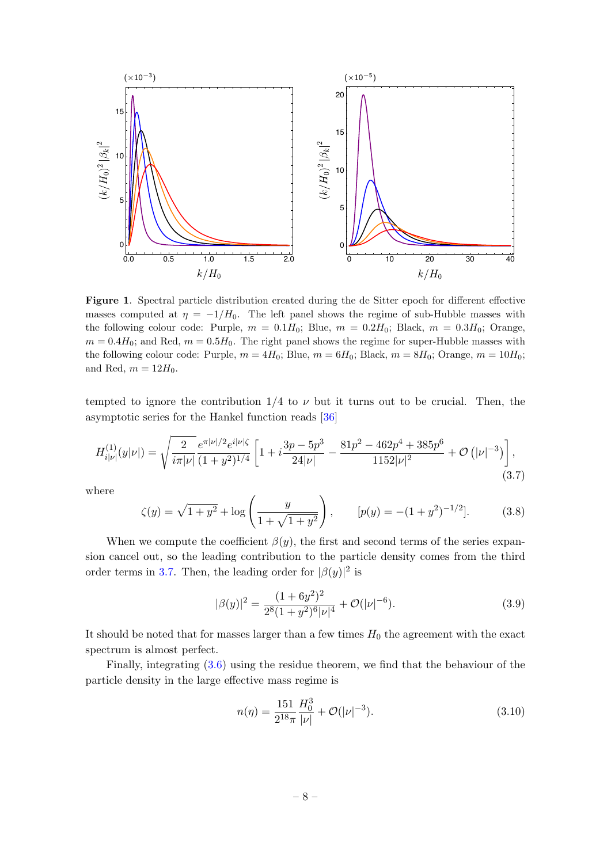

<span id="page-8-0"></span>Figure 1. Spectral particle distribution created during the de Sitter epoch for different effective masses computed at  $\eta = -1/H_0$ . The left panel shows the regime of sub-Hubble masses with the following colour code: Purple,  $m = 0.1H_0$ ; Blue,  $m = 0.2H_0$ ; Black,  $m = 0.3H_0$ ; Orange,  $m = 0.4H_0$ ; and Red,  $m = 0.5H_0$ . The right panel shows the regime for super-Hubble masses with the following colour code: Purple,  $m = 4H_0$ ; Blue,  $m = 6H_0$ ; Black,  $m = 8H_0$ ; Orange,  $m = 10H_0$ ; and Red,  $m = 12H_0$ .

tempted to ignore the contribution  $1/4$  to  $\nu$  but it turns out to be crucial. Then, the asymptotic series for the Hankel function reads [\[36\]](#page-24-1)

<span id="page-8-1"></span>
$$
H_{i|\nu|}^{(1)}(y|\nu|) = \sqrt{\frac{2}{i\pi|\nu|}} \frac{e^{\pi|\nu|/2}e^{i|\nu|\zeta}}{(1+y^2)^{1/4}} \left[1 + i\frac{3p - 5p^3}{24|\nu|} - \frac{81p^2 - 462p^4 + 385p^6}{1152|\nu|^2} + \mathcal{O}\left(|\nu|^{-3}\right)\right],\tag{3.7}
$$

where

$$
\zeta(y) = \sqrt{1+y^2} + \log\left(\frac{y}{1+\sqrt{1+y^2}}\right), \qquad [p(y) = -(1+y^2)^{-1/2}]. \tag{3.8}
$$

When we compute the coefficient  $\beta(y)$ , the first and second terms of the series expansion cancel out, so the leading contribution to the particle density comes from the third order terms in [3.7.](#page-8-1) Then, the leading order for  $|\beta(y)|^2$  is

$$
|\beta(y)|^2 = \frac{(1+6y^2)^2}{2^8(1+y^2)^6|\nu|^4} + \mathcal{O}(|\nu|^{-6}).\tag{3.9}
$$

It should be noted that for masses larger than a few times  $H_0$  the agreement with the exact spectrum is almost perfect.

Finally, integrating [\(3.6\)](#page-7-0) using the residue theorem, we find that the behaviour of the particle density in the large effective mass regime is

$$
n(\eta) = \frac{151}{2^{18}\pi} \frac{H_0^3}{|\nu|} + \mathcal{O}(|\nu|^{-3}).
$$
\n(3.10)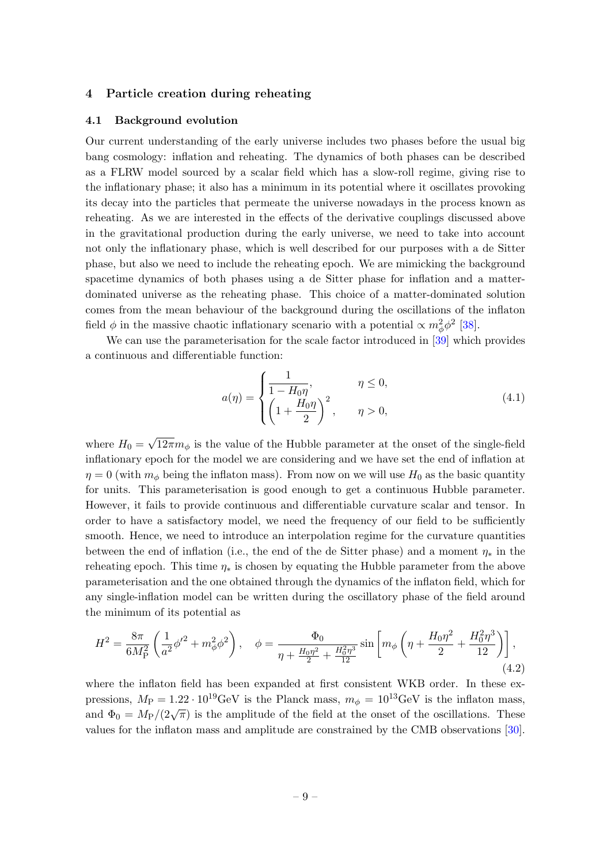# <span id="page-9-0"></span>4 Particle creation during reheating

#### <span id="page-9-1"></span>4.1 Background evolution

Our current understanding of the early universe includes two phases before the usual big bang cosmology: inflation and reheating. The dynamics of both phases can be described as a FLRW model sourced by a scalar field which has a slow-roll regime, giving rise to the inflationary phase; it also has a minimum in its potential where it oscillates provoking its decay into the particles that permeate the universe nowadays in the process known as reheating. As we are interested in the effects of the derivative couplings discussed above in the gravitational production during the early universe, we need to take into account not only the inflationary phase, which is well described for our purposes with a de Sitter phase, but also we need to include the reheating epoch. We are mimicking the background spacetime dynamics of both phases using a de Sitter phase for inflation and a matterdominated universe as the reheating phase. This choice of a matter-dominated solution comes from the mean behaviour of the background during the oscillations of the inflaton field  $\phi$  in the massive chaotic inflationary scenario with a potential  $\propto m_{\phi}^2 \phi^2$  [\[38\]](#page-24-3).

We can use the parameterisation for the scale factor introduced in  $[39]$  which provides a continuous and differentiable function:

$$
a(\eta) = \begin{cases} \frac{1}{1 - H_0 \eta}, & \eta \le 0, \\ \left(1 + \frac{H_0 \eta}{2}\right)^2, & \eta > 0, \end{cases}
$$
 (4.1)

where  $H_0 =$ √  $12\pi m_\phi$  is the value of the Hubble parameter at the onset of the single-field inflationary epoch for the model we are considering and we have set the end of inflation at  $\eta = 0$  (with  $m_{\phi}$  being the inflaton mass). From now on we will use  $H_0$  as the basic quantity for units. This parameterisation is good enough to get a continuous Hubble parameter. However, it fails to provide continuous and differentiable curvature scalar and tensor. In order to have a satisfactory model, we need the frequency of our field to be sufficiently smooth. Hence, we need to introduce an interpolation regime for the curvature quantities between the end of inflation (i.e., the end of the de Sitter phase) and a moment  $\eta_*$  in the reheating epoch. This time  $\eta_*$  is chosen by equating the Hubble parameter from the above parameterisation and the one obtained through the dynamics of the inflaton field, which for any single-inflation model can be written during the oscillatory phase of the field around the minimum of its potential as

<span id="page-9-2"></span>
$$
H^{2} = \frac{8\pi}{6M_{P}^{2}} \left( \frac{1}{a^{2}} \phi^{\prime 2} + m_{\phi}^{2} \phi^{2} \right), \quad \phi = \frac{\Phi_{0}}{\eta + \frac{H_{0}\eta^{2}}{2} + \frac{H_{0}^{2}\eta^{3}}{12}} \sin \left[ m_{\phi} \left( \eta + \frac{H_{0}\eta^{2}}{2} + \frac{H_{0}^{2}\eta^{3}}{12} \right) \right],
$$
\n(4.2)

where the inflaton field has been expanded at first consistent WKB order. In these expressions,  $M_P = 1.22 \cdot 10^{19} \text{GeV}$  is the Planck mass,  $m_\phi = 10^{13} \text{GeV}$  is the inflaton mass, and  $\Phi_0 = M_P/(2\sqrt{\pi})$  is the amplitude of the field at the onset of the oscillations. These values for the inflaton mass and amplitude are constrained by the CMB observations [\[30\]](#page-23-12).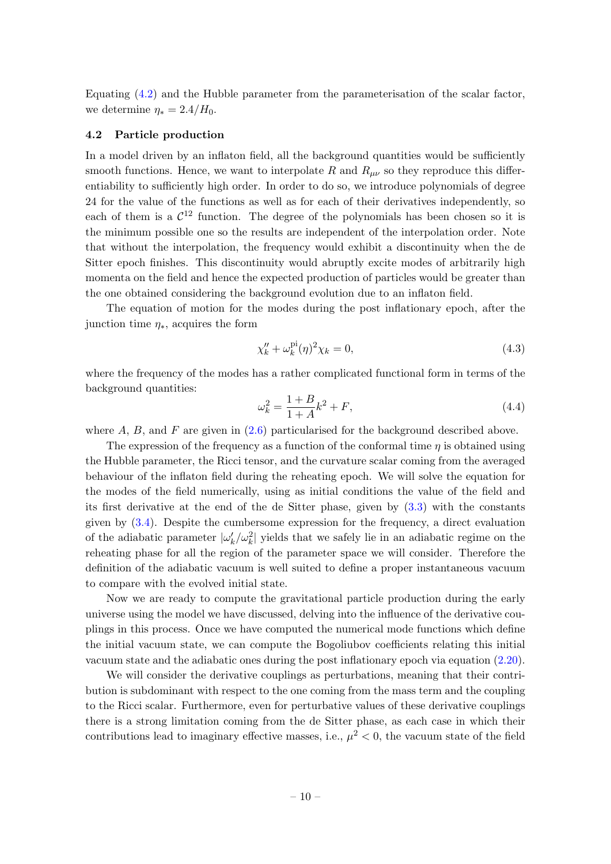Equating [\(4.2\)](#page-9-2) and the Hubble parameter from the parameterisation of the scalar factor, we determine  $\eta_* = 2.4/H_0$ .

#### <span id="page-10-0"></span>4.2 Particle production

In a model driven by an inflaton field, all the background quantities would be sufficiently smooth functions. Hence, we want to interpolate R and  $R_{\mu\nu}$  so they reproduce this differentiability to sufficiently high order. In order to do so, we introduce polynomials of degree 24 for the value of the functions as well as for each of their derivatives independently, so each of them is a  $\mathcal{C}^{12}$  function. The degree of the polynomials has been chosen so it is the minimum possible one so the results are independent of the interpolation order. Note that without the interpolation, the frequency would exhibit a discontinuity when the de Sitter epoch finishes. This discontinuity would abruptly excite modes of arbitrarily high momenta on the field and hence the expected production of particles would be greater than the one obtained considering the background evolution due to an inflaton field.

The equation of motion for the modes during the post inflationary epoch, after the junction time  $\eta_*$ , acquires the form

$$
\chi_k'' + \omega_k^{\text{pi}}(\eta)^2 \chi_k = 0,\tag{4.3}
$$

where the frequency of the modes has a rather complicated functional form in terms of the background quantities:

$$
\omega_k^2 = \frac{1+B}{1+A}k^2 + F,\tag{4.4}
$$

where  $A$ ,  $B$ , and  $F$  are given in [\(2.6\)](#page-3-0) particularised for the background described above.

The expression of the frequency as a function of the conformal time  $\eta$  is obtained using the Hubble parameter, the Ricci tensor, and the curvature scalar coming from the averaged behaviour of the inflaton field during the reheating epoch. We will solve the equation for the modes of the field numerically, using as initial conditions the value of the field and its first derivative at the end of the de Sitter phase, given by [\(3.3\)](#page-6-2) with the constants given by [\(3.4\)](#page-7-1). Despite the cumbersome expression for the frequency, a direct evaluation of the adiabatic parameter  $|\omega'_k/\omega_k^2|$  yields that we safely lie in an adiabatic regime on the reheating phase for all the region of the parameter space we will consider. Therefore the definition of the adiabatic vacuum is well suited to define a proper instantaneous vacuum to compare with the evolved initial state.

Now we are ready to compute the gravitational particle production during the early universe using the model we have discussed, delving into the influence of the derivative couplings in this process. Once we have computed the numerical mode functions which define the initial vacuum state, we can compute the Bogoliubov coefficients relating this initial vacuum state and the adiabatic ones during the post inflationary epoch via equation [\(2.20\)](#page-5-1).

We will consider the derivative couplings as perturbations, meaning that their contribution is subdominant with respect to the one coming from the mass term and the coupling to the Ricci scalar. Furthermore, even for perturbative values of these derivative couplings there is a strong limitation coming from the de Sitter phase, as each case in which their contributions lead to imaginary effective masses, i.e.,  $\mu^2 < 0$ , the vacuum state of the field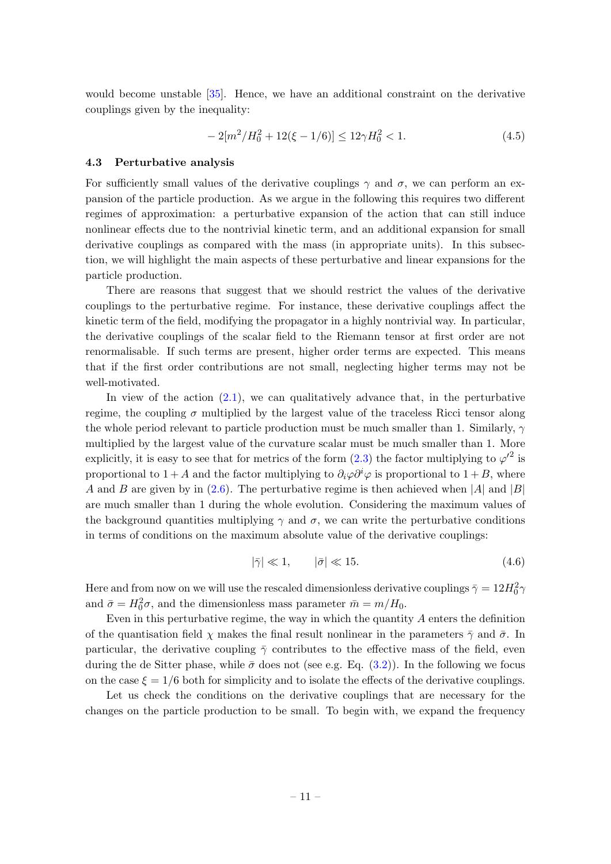would become unstable [\[35\]](#page-24-0). Hence, we have an additional constraint on the derivative couplings given by the inequality:

<span id="page-11-1"></span>
$$
-2[m^2/H_0^2 + 12(\xi - 1/6)] \le 12\gamma H_0^2 < 1.
$$
\n(4.5)

# <span id="page-11-0"></span>4.3 Perturbative analysis

For sufficiently small values of the derivative couplings  $\gamma$  and  $\sigma$ , we can perform an expansion of the particle production. As we argue in the following this requires two different regimes of approximation: a perturbative expansion of the action that can still induce nonlinear effects due to the nontrivial kinetic term, and an additional expansion for small derivative couplings as compared with the mass (in appropriate units). In this subsection, we will highlight the main aspects of these perturbative and linear expansions for the particle production.

There are reasons that suggest that we should restrict the values of the derivative couplings to the perturbative regime. For instance, these derivative couplings affect the kinetic term of the field, modifying the propagator in a highly nontrivial way. In particular, the derivative couplings of the scalar field to the Riemann tensor at first order are not renormalisable. If such terms are present, higher order terms are expected. This means that if the first order contributions are not small, neglecting higher terms may not be well-motivated.

In view of the action  $(2.1)$ , we can qualitatively advance that, in the perturbative regime, the coupling  $\sigma$  multiplied by the largest value of the traceless Ricci tensor along the whole period relevant to particle production must be much smaller than 1. Similarly,  $\gamma$ multiplied by the largest value of the curvature scalar must be much smaller than 1. More explicitly, it is easy to see that for metrics of the form  $(2.3)$  the factor multiplying to  $\varphi'^2$  is proportional to  $1+A$  and the factor multiplying to  $\partial_i\varphi\partial^i\varphi$  is proportional to  $1+B$ , where A and B are given by in [\(2.6\)](#page-3-0). The perturbative regime is then achieved when |A| and |B| are much smaller than 1 during the whole evolution. Considering the maximum values of the background quantities multiplying  $\gamma$  and  $\sigma$ , we can write the perturbative conditions in terms of conditions on the maximum absolute value of the derivative couplings:

<span id="page-11-2"></span>
$$
|\bar{\gamma}| \ll 1, \qquad |\bar{\sigma}| \ll 15. \tag{4.6}
$$

Here and from now on we will use the rescaled dimensionless derivative couplings  $\bar{\gamma} = 12 H_0^2 \gamma$ and  $\bar{\sigma} = H_0^2 \sigma$ , and the dimensionless mass parameter  $\bar{m} = m/H_0$ .

Even in this perturbative regime, the way in which the quantity  $A$  enters the definition of the quantisation field  $\chi$  makes the final result nonlinear in the parameters  $\bar{\gamma}$  and  $\bar{\sigma}$ . In particular, the derivative coupling  $\bar{\gamma}$  contributes to the effective mass of the field, even during the de Sitter phase, while  $\bar{\sigma}$  does not (see e.g. Eq. [\(3.2\)](#page-6-1)). In the following we focus on the case  $\xi = 1/6$  both for simplicity and to isolate the effects of the derivative couplings.

Let us check the conditions on the derivative couplings that are necessary for the changes on the particle production to be small. To begin with, we expand the frequency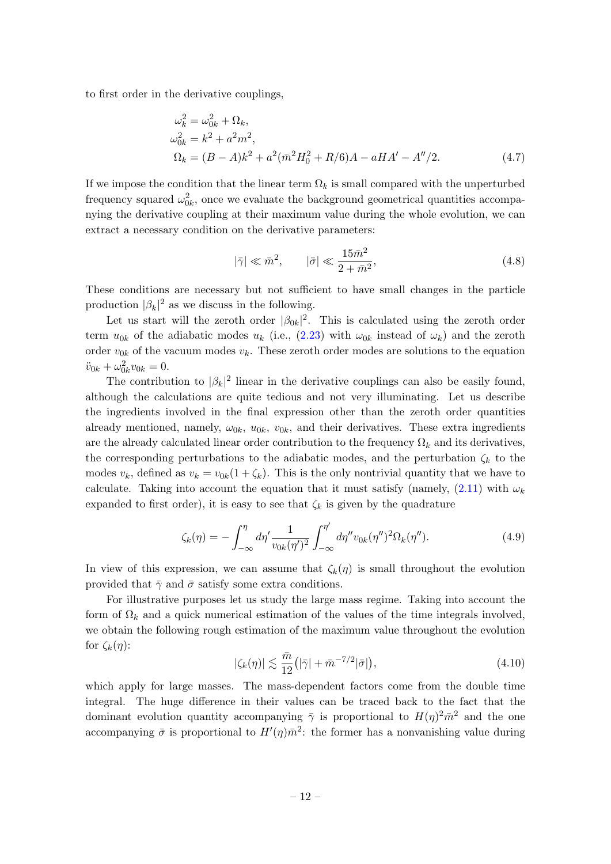to first order in the derivative couplings,

$$
\omega_k^2 = \omega_{0k}^2 + \Omega_k,
$$
  
\n
$$
\omega_{0k}^2 = k^2 + a^2 m^2,
$$
  
\n
$$
\Omega_k = (B - A)k^2 + a^2 (\bar{m}^2 H_0^2 + R/6)A - aH A' - A''/2.
$$
\n(4.7)

If we impose the condition that the linear term  $\Omega_k$  is small compared with the unperturbed frequency squared  $\omega_{0k}^2$ , once we evaluate the background geometrical quantities accompanying the derivative coupling at their maximum value during the whole evolution, we can extract a necessary condition on the derivative parameters:

<span id="page-12-0"></span>
$$
|\bar{\gamma}| \ll \bar{m}^2, \qquad |\bar{\sigma}| \ll \frac{15\bar{m}^2}{2 + \bar{m}^2},\tag{4.8}
$$

These conditions are necessary but not sufficient to have small changes in the particle production  $|\beta_k|^2$  as we discuss in the following.

Let us start will the zeroth order  $|\beta_{0k}|^2$ . This is calculated using the zeroth order term  $u_{0k}$  of the adiabatic modes  $u_k$  (i.e., [\(2.23\)](#page-5-2) with  $\omega_{0k}$  instead of  $\omega_k$ ) and the zeroth order  $v_{0k}$  of the vacuum modes  $v_k$ . These zeroth order modes are solutions to the equation  $\ddot{v}_{0k} + \omega_{0k}^2 v_{0k} = 0.$ 

The contribution to  $|\beta_k|^2$  linear in the derivative couplings can also be easily found, although the calculations are quite tedious and not very illuminating. Let us describe the ingredients involved in the final expression other than the zeroth order quantities already mentioned, namely,  $\omega_{0k}$ ,  $u_{0k}$ ,  $v_{0k}$ , and their derivatives. These extra ingredients are the already calculated linear order contribution to the frequency  $\Omega_k$  and its derivatives, the corresponding perturbations to the adiabatic modes, and the perturbation  $\zeta_k$  to the modes  $v_k$ , defined as  $v_k = v_{0k}(1 + \zeta_k)$ . This is the only nontrivial quantity that we have to calculate. Taking into account the equation that it must satisfy (namely,  $(2.11)$  with  $\omega_k$ expanded to first order), it is easy to see that  $\zeta_k$  is given by the quadrature

$$
\zeta_k(\eta) = -\int_{-\infty}^{\eta} d\eta' \frac{1}{v_{0k}(\eta')^2} \int_{-\infty}^{\eta'} d\eta'' v_{0k}(\eta'')^2 \Omega_k(\eta''). \tag{4.9}
$$

In view of this expression, we can assume that  $\zeta_k(\eta)$  is small throughout the evolution provided that  $\bar{\gamma}$  and  $\bar{\sigma}$  satisfy some extra conditions.

For illustrative purposes let us study the large mass regime. Taking into account the form of  $\Omega_k$  and a quick numerical estimation of the values of the time integrals involved, we obtain the following rough estimation of the maximum value throughout the evolution for  $\zeta_k(\eta)$ :

<span id="page-12-1"></span>
$$
|\zeta_k(\eta)| \lesssim \frac{\bar{m}}{12} \left( |\bar{\gamma}| + \bar{m}^{-7/2} |\bar{\sigma}| \right), \tag{4.10}
$$

which apply for large masses. The mass-dependent factors come from the double time integral. The huge difference in their values can be traced back to the fact that the dominant evolution quantity accompanying  $\bar{\gamma}$  is proportional to  $H(\eta)^2 \bar{m}^2$  and the one accompanying  $\bar{\sigma}$  is proportional to  $H'(\eta)\bar{m}^2$ : the former has a nonvanishing value during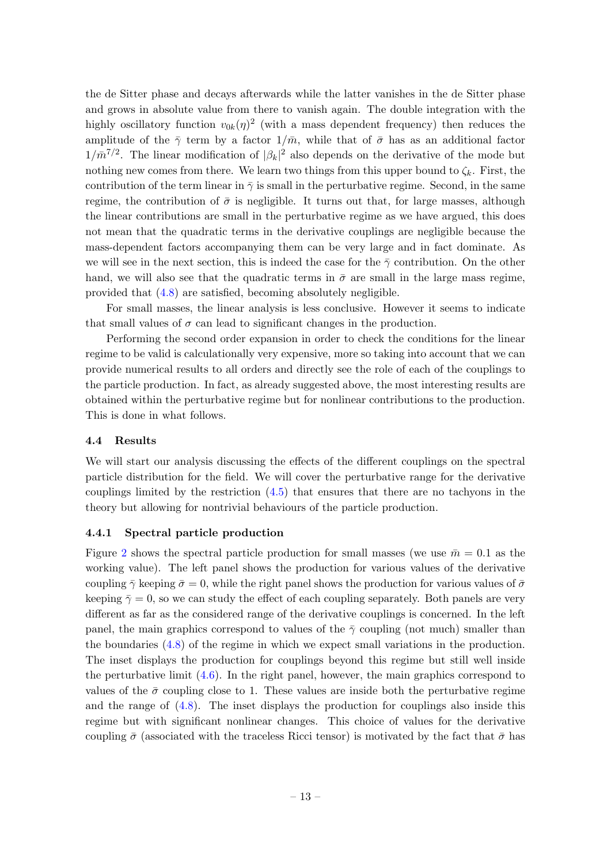the de Sitter phase and decays afterwards while the latter vanishes in the de Sitter phase and grows in absolute value from there to vanish again. The double integration with the highly oscillatory function  $v_{0k}(\eta)^2$  (with a mass dependent frequency) then reduces the amplitude of the  $\bar{\gamma}$  term by a factor  $1/\bar{m}$ , while that of  $\bar{\sigma}$  has as an additional factor  $1/\bar{m}^{7/2}$ . The linear modification of  $|\beta_k|^2$  also depends on the derivative of the mode but nothing new comes from there. We learn two things from this upper bound to  $\zeta_k$ . First, the contribution of the term linear in  $\bar{\gamma}$  is small in the perturbative regime. Second, in the same regime, the contribution of  $\bar{\sigma}$  is negligible. It turns out that, for large masses, although the linear contributions are small in the perturbative regime as we have argued, this does not mean that the quadratic terms in the derivative couplings are negligible because the mass-dependent factors accompanying them can be very large and in fact dominate. As we will see in the next section, this is indeed the case for the  $\bar{\gamma}$  contribution. On the other hand, we will also see that the quadratic terms in  $\bar{\sigma}$  are small in the large mass regime, provided that [\(4.8\)](#page-12-0) are satisfied, becoming absolutely negligible.

For small masses, the linear analysis is less conclusive. However it seems to indicate that small values of  $\sigma$  can lead to significant changes in the production.

Performing the second order expansion in order to check the conditions for the linear regime to be valid is calculationally very expensive, more so taking into account that we can provide numerical results to all orders and directly see the role of each of the couplings to the particle production. In fact, as already suggested above, the most interesting results are obtained within the perturbative regime but for nonlinear contributions to the production. This is done in what follows.

## <span id="page-13-0"></span>4.4 Results

We will start our analysis discussing the effects of the different couplings on the spectral particle distribution for the field. We will cover the perturbative range for the derivative couplings limited by the restriction [\(4.5\)](#page-11-1) that ensures that there are no tachyons in the theory but allowing for nontrivial behaviours of the particle production.

## <span id="page-13-1"></span>4.4.1 Spectral particle production

Figure [2](#page-14-0) shows the spectral particle production for small masses (we use  $\bar{m} = 0.1$  as the working value). The left panel shows the production for various values of the derivative coupling  $\bar{\gamma}$  keeping  $\bar{\sigma} = 0$ , while the right panel shows the production for various values of  $\bar{\sigma}$ keeping  $\bar{\gamma} = 0$ , so we can study the effect of each coupling separately. Both panels are very different as far as the considered range of the derivative couplings is concerned. In the left panel, the main graphics correspond to values of the  $\bar{\gamma}$  coupling (not much) smaller than the boundaries [\(4.8\)](#page-12-0) of the regime in which we expect small variations in the production. The inset displays the production for couplings beyond this regime but still well inside the perturbative limit [\(4.6\)](#page-11-2). In the right panel, however, the main graphics correspond to values of the  $\bar{\sigma}$  coupling close to 1. These values are inside both the perturbative regime and the range of [\(4.8\)](#page-12-0). The inset displays the production for couplings also inside this regime but with significant nonlinear changes. This choice of values for the derivative coupling  $\bar{\sigma}$  (associated with the traceless Ricci tensor) is motivated by the fact that  $\bar{\sigma}$  has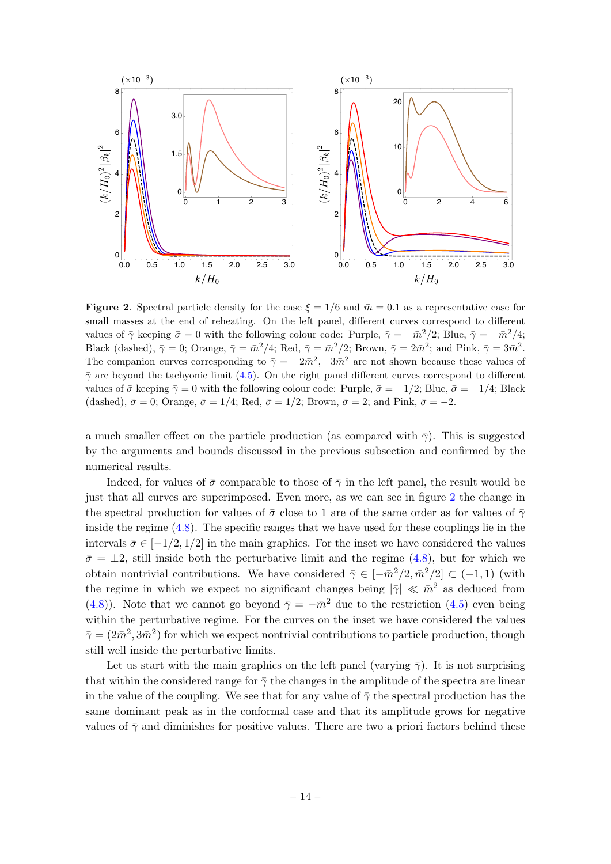

<span id="page-14-0"></span>**Figure 2.** Spectral particle density for the case  $\xi = 1/6$  and  $\bar{m} = 0.1$  as a representative case for small masses at the end of reheating. On the left panel, different curves correspond to different values of  $\bar{\gamma}$  keeping  $\bar{\sigma} = 0$  with the following colour code: Purple,  $\bar{\gamma} = -\bar{m}^2/2$ ; Blue,  $\bar{\gamma} = -\bar{m}^2/4$ ; Black (dashed),  $\bar{\gamma} = 0$ ; Orange,  $\bar{\gamma} = \bar{m}^2/4$ ; Red,  $\bar{\gamma} = \bar{m}^2/2$ ; Brown,  $\bar{\gamma} = 2\bar{m}^2$ ; and Pink,  $\bar{\gamma} = 3\bar{m}^2$ . The companion curves corresponding to  $\bar{\gamma} = -2\bar{m}^2, -3\bar{m}^2$  are not shown because these values of  $\bar{\gamma}$  are beyond the tachyonic limit [\(4.5\)](#page-11-1). On the right panel different curves correspond to different values of  $\bar{\sigma}$  keeping  $\bar{\gamma} = 0$  with the following colour code: Purple,  $\bar{\sigma} = -1/2$ ; Blue,  $\bar{\sigma} = -1/4$ ; Black (dashed),  $\bar{\sigma} = 0$ ; Orange,  $\bar{\sigma} = 1/4$ ; Red,  $\bar{\sigma} = 1/2$ ; Brown,  $\bar{\sigma} = 2$ ; and Pink,  $\bar{\sigma} = -2$ .

a much smaller effect on the particle production (as compared with  $\bar{\gamma}$ ). This is suggested by the arguments and bounds discussed in the previous subsection and confirmed by the numerical results.

Indeed, for values of  $\bar{\sigma}$  comparable to those of  $\bar{\gamma}$  in the left panel, the result would be just that all curves are superimposed. Even more, as we can see in figure [2](#page-14-0) the change in the spectral production for values of  $\bar{\sigma}$  close to 1 are of the same order as for values of  $\bar{\gamma}$ inside the regime [\(4.8\)](#page-12-0). The specific ranges that we have used for these couplings lie in the intervals  $\bar{\sigma} \in [-1/2, 1/2]$  in the main graphics. For the inset we have considered the values  $\bar{\sigma} = \pm 2$ , still inside both the perturbative limit and the regime [\(4.8\)](#page-12-0), but for which we obtain nontrivial contributions. We have considered  $\bar{\gamma} \in [-\bar{m}^2/2, \bar{m}^2/2] \subset (-1,1)$  (with the regime in which we expect no significant changes being  $|\bar{\gamma}| \ll \bar{m}^2$  as deduced from [\(4.8\)](#page-12-0)). Note that we cannot go beyond  $\bar{\gamma} = -\bar{m}^2$  due to the restriction [\(4.5\)](#page-11-1) even being within the perturbative regime. For the curves on the inset we have considered the values  $\bar{\gamma}=(2\bar{m}^2,3\bar{m}^2)$  for which we expect nontrivial contributions to particle production, though still well inside the perturbative limits.

Let us start with the main graphics on the left panel (varying  $\bar{\gamma}$ ). It is not surprising that within the considered range for  $\bar{\gamma}$  the changes in the amplitude of the spectra are linear in the value of the coupling. We see that for any value of  $\bar{\gamma}$  the spectral production has the same dominant peak as in the conformal case and that its amplitude grows for negative values of  $\bar{\gamma}$  and diminishes for positive values. There are two a priori factors behind these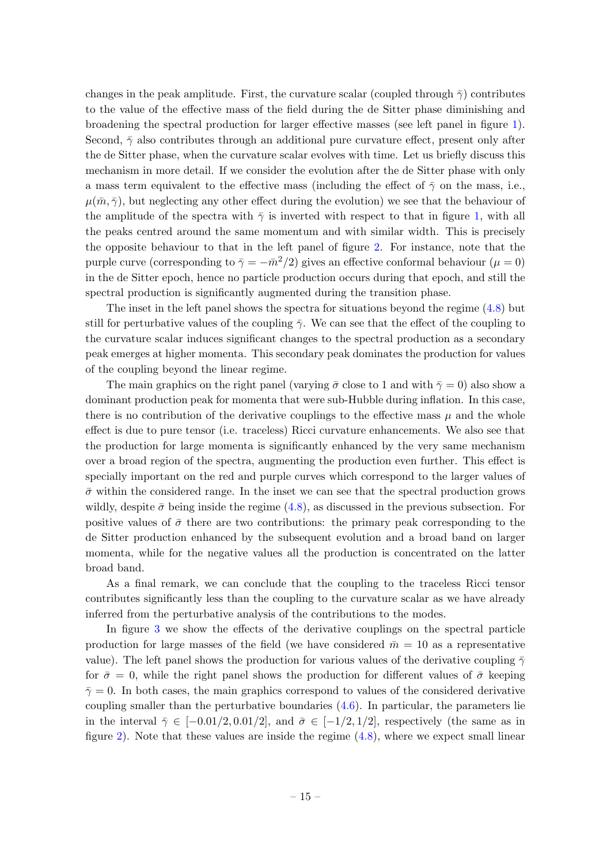changes in the peak amplitude. First, the curvature scalar (coupled through  $\bar{\gamma}$ ) contributes to the value of the effective mass of the field during the de Sitter phase diminishing and broadening the spectral production for larger effective masses (see left panel in figure [1\)](#page-8-0). Second,  $\bar{\gamma}$  also contributes through an additional pure curvature effect, present only after the de Sitter phase, when the curvature scalar evolves with time. Let us briefly discuss this mechanism in more detail. If we consider the evolution after the de Sitter phase with only a mass term equivalent to the effective mass (including the effect of  $\bar{\gamma}$  on the mass, i.e.,  $\mu(\bar{m}, \bar{\gamma})$ , but neglecting any other effect during the evolution) we see that the behaviour of the amplitude of the spectra with  $\bar{\gamma}$  is inverted with respect to that in figure [1,](#page-8-0) with all the peaks centred around the same momentum and with similar width. This is precisely the opposite behaviour to that in the left panel of figure [2.](#page-14-0) For instance, note that the purple curve (corresponding to  $\bar{\gamma} = -\bar{m}^2/2$ ) gives an effective conformal behaviour  $(\mu = 0)$ in the de Sitter epoch, hence no particle production occurs during that epoch, and still the spectral production is significantly augmented during the transition phase.

The inset in the left panel shows the spectra for situations beyond the regime [\(4.8\)](#page-12-0) but still for perturbative values of the coupling  $\bar{\gamma}$ . We can see that the effect of the coupling to the curvature scalar induces significant changes to the spectral production as a secondary peak emerges at higher momenta. This secondary peak dominates the production for values of the coupling beyond the linear regime.

The main graphics on the right panel (varying  $\bar{\sigma}$  close to 1 and with  $\bar{\gamma} = 0$ ) also show a dominant production peak for momenta that were sub-Hubble during inflation. In this case, there is no contribution of the derivative couplings to the effective mass  $\mu$  and the whole effect is due to pure tensor (i.e. traceless) Ricci curvature enhancements. We also see that the production for large momenta is significantly enhanced by the very same mechanism over a broad region of the spectra, augmenting the production even further. This effect is specially important on the red and purple curves which correspond to the larger values of  $\bar{\sigma}$  within the considered range. In the inset we can see that the spectral production grows wildly, despite  $\bar{\sigma}$  being inside the regime [\(4.8\)](#page-12-0), as discussed in the previous subsection. For positive values of  $\bar{\sigma}$  there are two contributions: the primary peak corresponding to the de Sitter production enhanced by the subsequent evolution and a broad band on larger momenta, while for the negative values all the production is concentrated on the latter broad band.

As a final remark, we can conclude that the coupling to the traceless Ricci tensor contributes significantly less than the coupling to the curvature scalar as we have already inferred from the perturbative analysis of the contributions to the modes.

In figure [3](#page-16-0) we show the effects of the derivative couplings on the spectral particle production for large masses of the field (we have considered  $\bar{m} = 10$  as a representative value). The left panel shows the production for various values of the derivative coupling  $\bar{\gamma}$ for  $\bar{\sigma} = 0$ , while the right panel shows the production for different values of  $\bar{\sigma}$  keeping  $\bar{\gamma}=0$ . In both cases, the main graphics correspond to values of the considered derivative coupling smaller than the perturbative boundaries  $(4.6)$ . In particular, the parameters lie in the interval  $\bar{\gamma} \in [-0.01/2, 0.01/2]$ , and  $\bar{\sigma} \in [-1/2, 1/2]$ , respectively (the same as in figure [2\)](#page-14-0). Note that these values are inside the regime [\(4.8\)](#page-12-0), where we expect small linear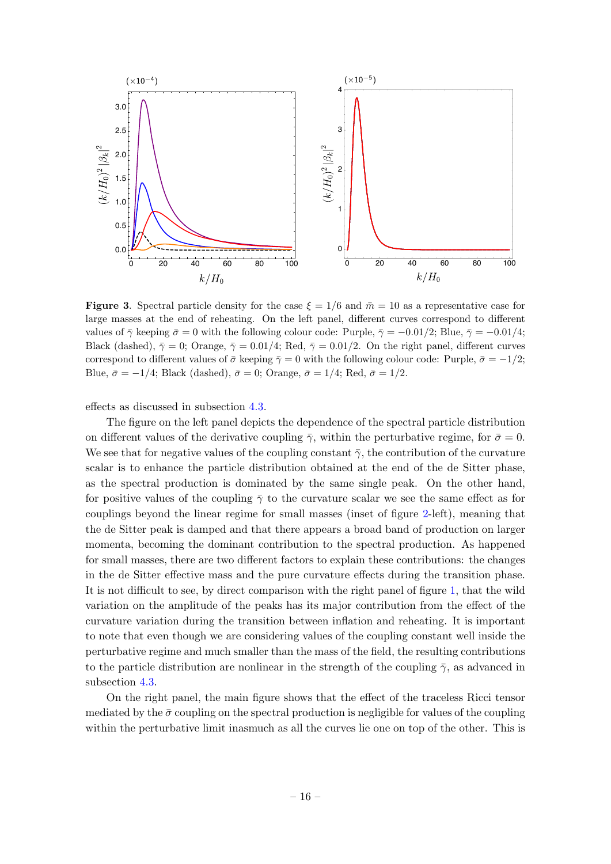

<span id="page-16-0"></span>**Figure 3.** Spectral particle density for the case  $\xi = 1/6$  and  $\overline{m} = 10$  as a representative case for large masses at the end of reheating. On the left panel, different curves correspond to different values of  $\bar{\gamma}$  keeping  $\bar{\sigma} = 0$  with the following colour code: Purple,  $\bar{\gamma} = -0.01/2$ ; Blue,  $\bar{\gamma} = -0.01/4$ ; Black (dashed),  $\bar{\gamma} = 0$ ; Orange,  $\bar{\gamma} = 0.01/4$ ; Red,  $\bar{\gamma} = 0.01/2$ . On the right panel, different curves correspond to different values of  $\bar{\sigma}$  keeping  $\bar{\gamma} = 0$  with the following colour code: Purple,  $\bar{\sigma} = -1/2$ ; Blue,  $\bar{\sigma} = -1/4$ ; Black (dashed),  $\bar{\sigma} = 0$ ; Orange,  $\bar{\sigma} = 1/4$ ; Red,  $\bar{\sigma} = 1/2$ .

effects as discussed in subsection [4.3.](#page-11-0)

The figure on the left panel depicts the dependence of the spectral particle distribution on different values of the derivative coupling  $\bar{\gamma}$ , within the perturbative regime, for  $\bar{\sigma} = 0$ . We see that for negative values of the coupling constant  $\bar{\gamma}$ , the contribution of the curvature scalar is to enhance the particle distribution obtained at the end of the de Sitter phase, as the spectral production is dominated by the same single peak. On the other hand, for positive values of the coupling  $\bar{\gamma}$  to the curvature scalar we see the same effect as for couplings beyond the linear regime for small masses (inset of figure [2-](#page-14-0)left), meaning that the de Sitter peak is damped and that there appears a broad band of production on larger momenta, becoming the dominant contribution to the spectral production. As happened for small masses, there are two different factors to explain these contributions: the changes in the de Sitter effective mass and the pure curvature effects during the transition phase. It is not difficult to see, by direct comparison with the right panel of figure [1,](#page-8-0) that the wild variation on the amplitude of the peaks has its major contribution from the effect of the curvature variation during the transition between inflation and reheating. It is important to note that even though we are considering values of the coupling constant well inside the perturbative regime and much smaller than the mass of the field, the resulting contributions to the particle distribution are nonlinear in the strength of the coupling  $\bar{\gamma}$ , as advanced in subsection [4.3.](#page-11-0)

On the right panel, the main figure shows that the effect of the traceless Ricci tensor mediated by the  $\bar{\sigma}$  coupling on the spectral production is negligible for values of the coupling within the perturbative limit inasmuch as all the curves lie one on top of the other. This is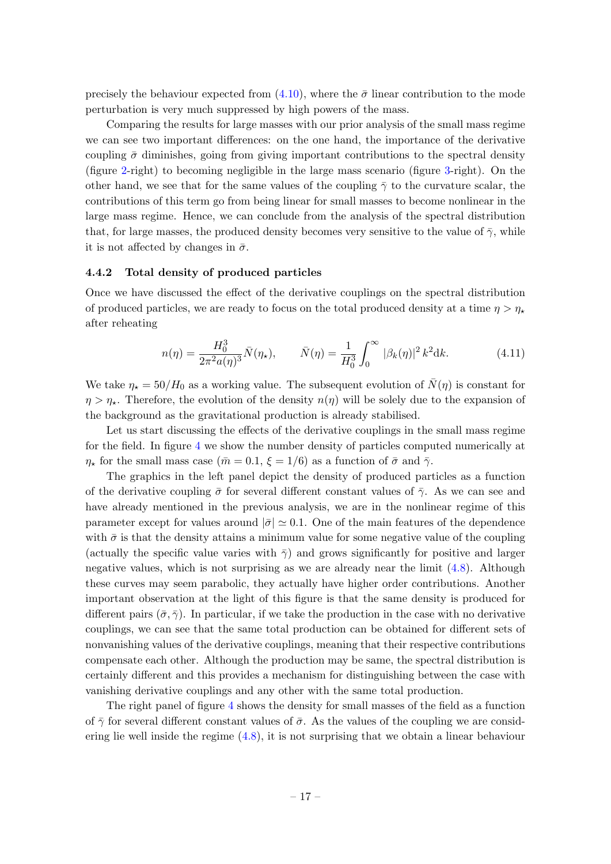precisely the behaviour expected from  $(4.10)$ , where the  $\bar{\sigma}$  linear contribution to the mode perturbation is very much suppressed by high powers of the mass.

Comparing the results for large masses with our prior analysis of the small mass regime we can see two important differences: on the one hand, the importance of the derivative coupling  $\bar{\sigma}$  diminishes, going from giving important contributions to the spectral density (figure [2-](#page-14-0)right) to becoming negligible in the large mass scenario (figure [3-](#page-16-0)right). On the other hand, we see that for the same values of the coupling  $\bar{\gamma}$  to the curvature scalar, the contributions of this term go from being linear for small masses to become nonlinear in the large mass regime. Hence, we can conclude from the analysis of the spectral distribution that, for large masses, the produced density becomes very sensitive to the value of  $\bar{\gamma}$ , while it is not affected by changes in  $\bar{\sigma}$ .

#### <span id="page-17-0"></span>4.4.2 Total density of produced particles

Once we have discussed the effect of the derivative couplings on the spectral distribution of produced particles, we are ready to focus on the total produced density at a time  $\eta > \eta_{\star}$ after reheating

$$
n(\eta) = \frac{H_0^3}{2\pi^2 a(\eta)^3} \bar{N}(\eta_\star), \qquad \bar{N}(\eta) = \frac{1}{H_0^3} \int_0^\infty |\beta_k(\eta)|^2 k^2 dk. \tag{4.11}
$$

We take  $\eta_{\star} = 50/H_0$  as a working value. The subsequent evolution of  $\bar{N}(\eta)$  is constant for  $\eta > \eta_{\star}$ . Therefore, the evolution of the density  $n(\eta)$  will be solely due to the expansion of the background as the gravitational production is already stabilised.

Let us start discussing the effects of the derivative couplings in the small mass regime for the field. In figure [4](#page-18-0) we show the number density of particles computed numerically at  $\eta_{\star}$  for the small mass case  $(\bar{m} = 0.1, \xi = 1/6)$  as a function of  $\bar{\sigma}$  and  $\bar{\gamma}$ .

The graphics in the left panel depict the density of produced particles as a function of the derivative coupling  $\bar{\sigma}$  for several different constant values of  $\bar{\gamma}$ . As we can see and have already mentioned in the previous analysis, we are in the nonlinear regime of this parameter except for values around  $|\bar{\sigma}| \simeq 0.1$ . One of the main features of the dependence with  $\bar{\sigma}$  is that the density attains a minimum value for some negative value of the coupling (actually the specific value varies with  $\bar{\gamma}$ ) and grows significantly for positive and larger negative values, which is not surprising as we are already near the limit [\(4.8\)](#page-12-0). Although these curves may seem parabolic, they actually have higher order contributions. Another important observation at the light of this figure is that the same density is produced for different pairs  $(\bar{\sigma}, \bar{\gamma})$ . In particular, if we take the production in the case with no derivative couplings, we can see that the same total production can be obtained for different sets of nonvanishing values of the derivative couplings, meaning that their respective contributions compensate each other. Although the production may be same, the spectral distribution is certainly different and this provides a mechanism for distinguishing between the case with vanishing derivative couplings and any other with the same total production.

The right panel of figure [4](#page-18-0) shows the density for small masses of the field as a function of  $\bar{\gamma}$  for several different constant values of  $\bar{\sigma}$ . As the values of the coupling we are considering lie well inside the regime  $(4.8)$ , it is not surprising that we obtain a linear behaviour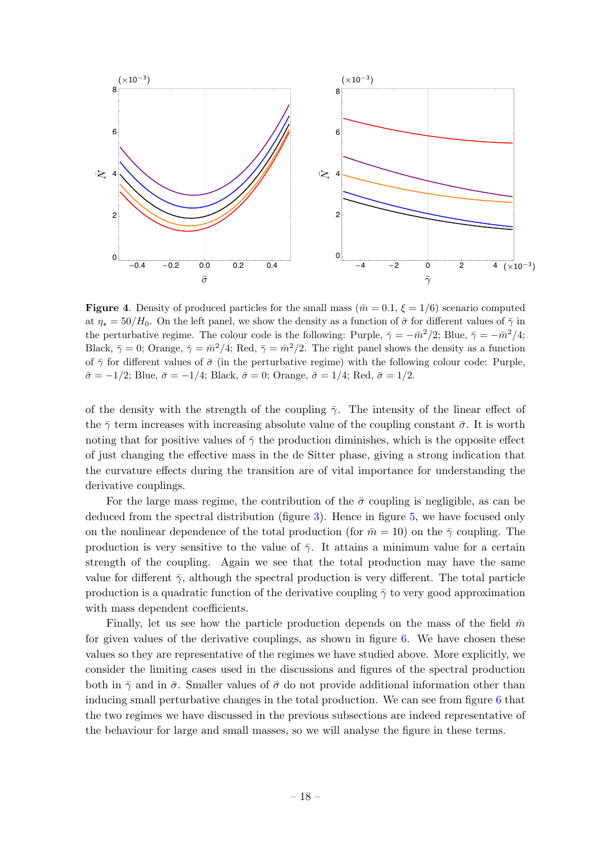

<span id="page-18-0"></span>**Figure 4.** Density of produced particles for the small mass ( $\bar{m} = 0.1$ ,  $\xi = 1/6$ ) scenario computed at  $\eta_* = 50/H_0$ . On the left panel, we show the density as a function of  $\bar{\sigma}$  for different values of  $\bar{\gamma}$  in the perturbative regime. The colour code is the following: Purple,  $\bar{\gamma} = -\bar{m}^2/2$ ; Blue,  $\bar{\gamma} = -\bar{m}^2/4$ ; Black,  $\bar{\gamma} = 0$ ; Orange,  $\bar{\gamma} = \bar{m}^2/4$ ; Red,  $\bar{\gamma} = \bar{m}^2/2$ . The right panel shows the density as a function of  $\bar{\gamma}$  for different values of  $\bar{\sigma}$  (in the perturbative regime) with the following colour code: Purple,  $\bar{\sigma} = -1/2$ ; Blue,  $\bar{\sigma} = -1/4$ ; Black,  $\bar{\sigma} = 0$ ; Orange,  $\bar{\sigma} = 1/4$ ; Red,  $\bar{\sigma} = 1/2$ .

of the density with the strength of the coupling  $\bar{\gamma}$ . The intensity of the linear effect of the  $\bar{\gamma}$  term increases with increasing absolute value of the coupling constant  $\bar{\sigma}$ . It is worth noting that for positive values of  $\bar{\gamma}$  the production diminishes, which is the opposite effect of just changing the effective mass in the de Sitter phase, giving a strong indication that the curvature effects during the transition are of vital importance for understanding the derivative couplings.

For the large mass regime, the contribution of the  $\bar{\sigma}$  coupling is negligible, as can be deduced from the spectral distribution (figure [3\)](#page-16-0). Hence in figure [5,](#page-19-0) we have focused only on the nonlinear dependence of the total production (for  $\bar{m} = 10$ ) on the  $\bar{\gamma}$  coupling. The production is very sensitive to the value of  $\bar{\gamma}$ . It attains a minimum value for a certain strength of the coupling. Again we see that the total production may have the same value for different  $\bar{\gamma}$ , although the spectral production is very different. The total particle production is a quadratic function of the derivative coupling  $\bar{\gamma}$  to very good approximation with mass dependent coefficients.

Finally, let us see how the particle production depends on the mass of the field  $\bar{m}$ for given values of the derivative couplings, as shown in figure [6.](#page-19-1) We have chosen these values so they are representative of the regimes we have studied above. More explicitly, we consider the limiting cases used in the discussions and figures of the spectral production both in  $\bar{\gamma}$  and in  $\bar{\sigma}$ . Smaller values of  $\bar{\sigma}$  do not provide additional information other than inducing small perturbative changes in the total production. We can see from figure [6](#page-19-1) that the two regimes we have discussed in the previous subsections are indeed representative of the behaviour for large and small masses, so we will analyse the figure in these terms.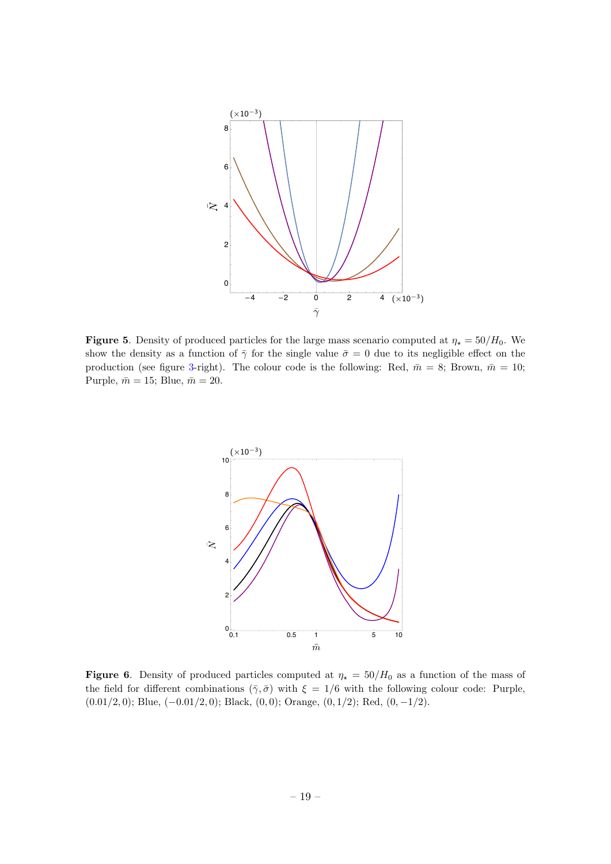

<span id="page-19-0"></span>**Figure 5.** Density of produced particles for the large mass scenario computed at  $\eta_{\star} = 50/H_0$ . We show the density as a function of  $\bar{\gamma}$  for the single value  $\bar{\sigma} = 0$  due to its negligible effect on the production (see figure [3-](#page-16-0)right). The colour code is the following: Red,  $\bar{m} = 8$ ; Brown,  $\bar{m} = 10$ ; Purple,  $\bar{m} = 15$ ; Blue,  $\bar{m} = 20$ .



<span id="page-19-1"></span>Figure 6. Density of produced particles computed at  $\eta_{\star} = 50/H_0$  as a function of the mass of the field for different combinations  $(\bar{\gamma}, \bar{\sigma})$  with  $\xi = 1/6$  with the following colour code: Purple,  $(0.01/2, 0)$ ; Blue,  $(-0.01/2, 0)$ ; Black,  $(0, 0)$ ; Orange,  $(0, 1/2)$ ; Red,  $(0, -1/2)$ .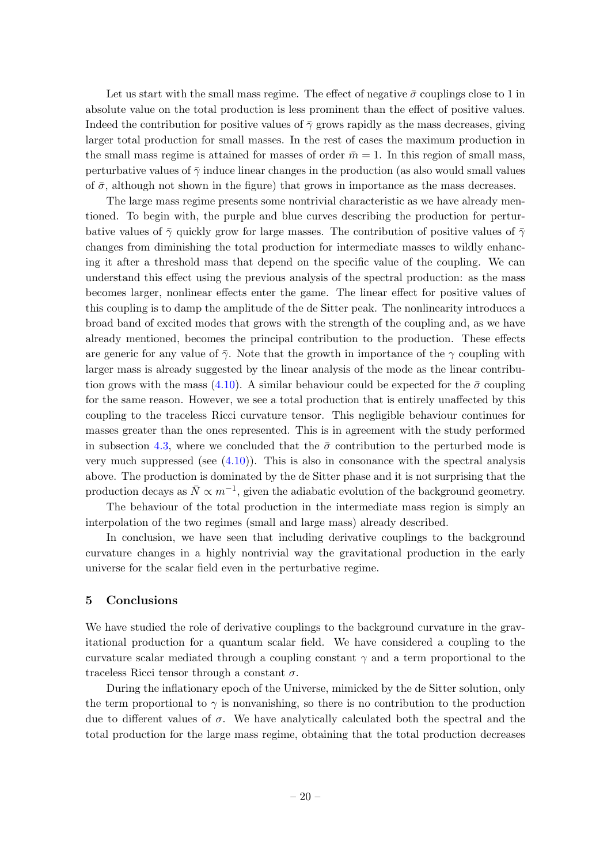Let us start with the small mass regime. The effect of negative  $\bar{\sigma}$  couplings close to 1 in absolute value on the total production is less prominent than the effect of positive values. Indeed the contribution for positive values of  $\bar{\gamma}$  grows rapidly as the mass decreases, giving larger total production for small masses. In the rest of cases the maximum production in the small mass regime is attained for masses of order  $\bar{m} = 1$ . In this region of small mass, perturbative values of  $\bar{\gamma}$  induce linear changes in the production (as also would small values of  $\bar{\sigma}$ , although not shown in the figure) that grows in importance as the mass decreases.

The large mass regime presents some nontrivial characteristic as we have already mentioned. To begin with, the purple and blue curves describing the production for perturbative values of  $\bar{\gamma}$  quickly grow for large masses. The contribution of positive values of  $\bar{\gamma}$ changes from diminishing the total production for intermediate masses to wildly enhancing it after a threshold mass that depend on the specific value of the coupling. We can understand this effect using the previous analysis of the spectral production: as the mass becomes larger, nonlinear effects enter the game. The linear effect for positive values of this coupling is to damp the amplitude of the de Sitter peak. The nonlinearity introduces a broad band of excited modes that grows with the strength of the coupling and, as we have already mentioned, becomes the principal contribution to the production. These effects are generic for any value of  $\bar{\gamma}$ . Note that the growth in importance of the  $\gamma$  coupling with larger mass is already suggested by the linear analysis of the mode as the linear contribu-tion grows with the mass [\(4.10\)](#page-12-1). A similar behaviour could be expected for the  $\bar{\sigma}$  coupling for the same reason. However, we see a total production that is entirely unaffected by this coupling to the traceless Ricci curvature tensor. This negligible behaviour continues for masses greater than the ones represented. This is in agreement with the study performed in subsection [4.3,](#page-11-0) where we concluded that the  $\bar{\sigma}$  contribution to the perturbed mode is very much suppressed (see  $(4.10)$ ). This is also in consonance with the spectral analysis above. The production is dominated by the de Sitter phase and it is not surprising that the production decays as  $\bar{N} \propto m^{-1}$ , given the adiabatic evolution of the background geometry.

The behaviour of the total production in the intermediate mass region is simply an interpolation of the two regimes (small and large mass) already described.

In conclusion, we have seen that including derivative couplings to the background curvature changes in a highly nontrivial way the gravitational production in the early universe for the scalar field even in the perturbative regime.

## <span id="page-20-0"></span>5 Conclusions

We have studied the role of derivative couplings to the background curvature in the gravitational production for a quantum scalar field. We have considered a coupling to the curvature scalar mediated through a coupling constant  $\gamma$  and a term proportional to the traceless Ricci tensor through a constant  $\sigma$ .

During the inflationary epoch of the Universe, mimicked by the de Sitter solution, only the term proportional to  $\gamma$  is nonvanishing, so there is no contribution to the production due to different values of  $\sigma$ . We have analytically calculated both the spectral and the total production for the large mass regime, obtaining that the total production decreases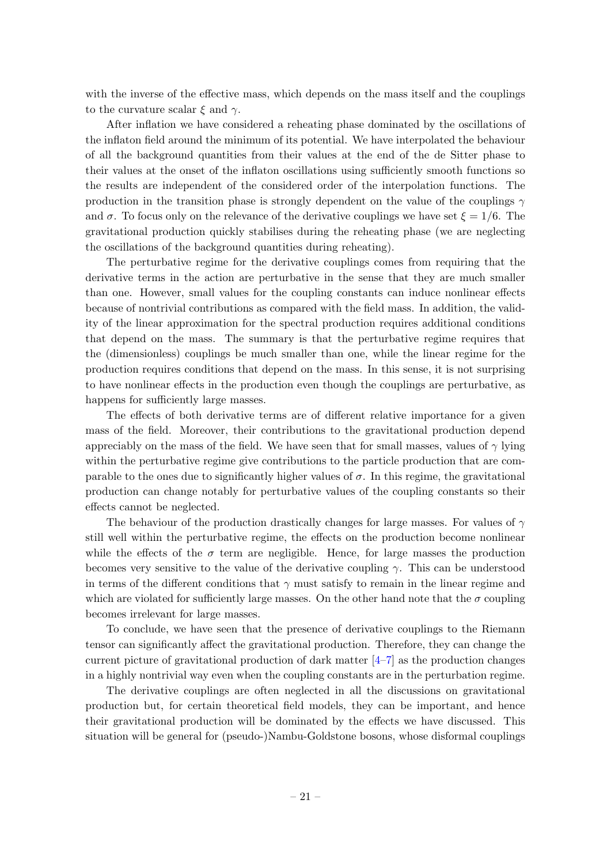with the inverse of the effective mass, which depends on the mass itself and the couplings to the curvature scalar  $\xi$  and  $\gamma$ .

After inflation we have considered a reheating phase dominated by the oscillations of the inflaton field around the minimum of its potential. We have interpolated the behaviour of all the background quantities from their values at the end of the de Sitter phase to their values at the onset of the inflaton oscillations using sufficiently smooth functions so the results are independent of the considered order of the interpolation functions. The production in the transition phase is strongly dependent on the value of the couplings  $\gamma$ and  $\sigma$ . To focus only on the relevance of the derivative couplings we have set  $\xi = 1/6$ . The gravitational production quickly stabilises during the reheating phase (we are neglecting the oscillations of the background quantities during reheating).

The perturbative regime for the derivative couplings comes from requiring that the derivative terms in the action are perturbative in the sense that they are much smaller than one. However, small values for the coupling constants can induce nonlinear effects because of nontrivial contributions as compared with the field mass. In addition, the validity of the linear approximation for the spectral production requires additional conditions that depend on the mass. The summary is that the perturbative regime requires that the (dimensionless) couplings be much smaller than one, while the linear regime for the production requires conditions that depend on the mass. In this sense, it is not surprising to have nonlinear effects in the production even though the couplings are perturbative, as happens for sufficiently large masses.

The effects of both derivative terms are of different relative importance for a given mass of the field. Moreover, their contributions to the gravitational production depend appreciably on the mass of the field. We have seen that for small masses, values of  $\gamma$  lying within the perturbative regime give contributions to the particle production that are comparable to the ones due to significantly higher values of  $\sigma$ . In this regime, the gravitational production can change notably for perturbative values of the coupling constants so their effects cannot be neglected.

The behaviour of the production drastically changes for large masses. For values of  $\gamma$ still well within the perturbative regime, the effects on the production become nonlinear while the effects of the  $\sigma$  term are negligible. Hence, for large masses the production becomes very sensitive to the value of the derivative coupling  $\gamma$ . This can be understood in terms of the different conditions that  $\gamma$  must satisfy to remain in the linear regime and which are violated for sufficiently large masses. On the other hand note that the  $\sigma$  coupling becomes irrelevant for large masses.

To conclude, we have seen that the presence of derivative couplings to the Riemann tensor can significantly affect the gravitational production. Therefore, they can change the current picture of gravitational production of dark matter  $[4-7]$  $[4-7]$  as the production changes in a highly nontrivial way even when the coupling constants are in the perturbation regime.

The derivative couplings are often neglected in all the discussions on gravitational production but, for certain theoretical field models, they can be important, and hence their gravitational production will be dominated by the effects we have discussed. This situation will be general for (pseudo-)Nambu-Goldstone bosons, whose disformal couplings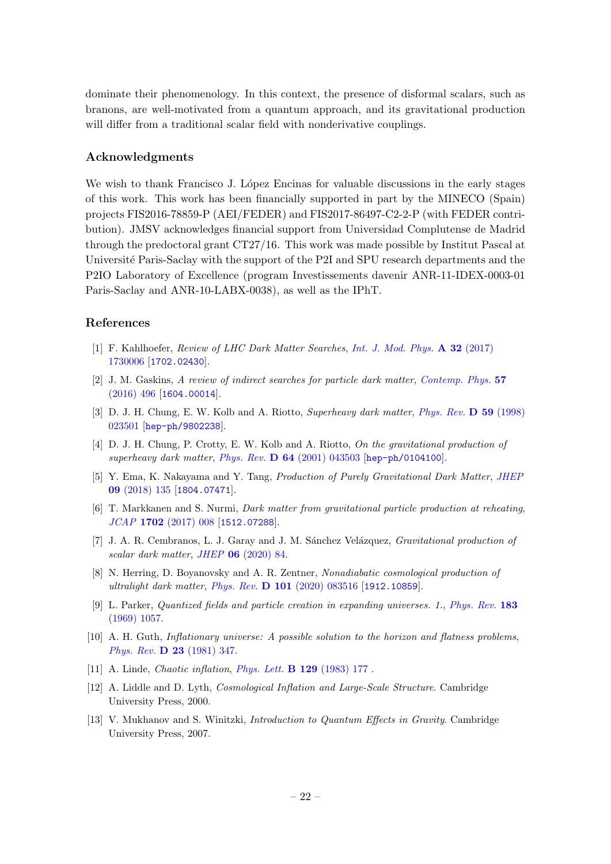dominate their phenomenology. In this context, the presence of disformal scalars, such as branons, are well-motivated from a quantum approach, and its gravitational production will differ from a traditional scalar field with nonderivative couplings.

## Acknowledgments

We wish to thank Francisco J. López Encinas for valuable discussions in the early stages of this work. This work has been financially supported in part by the MINECO (Spain) projects FIS2016-78859-P (AEI/FEDER) and FIS2017-86497-C2-2-P (with FEDER contribution). JMSV acknowledges financial support from Universidad Complutense de Madrid through the predoctoral grant CT27/16. This work was made possible by Institut Pascal at Université Paris-Saclay with the support of the P2I and SPU research departments and the P2IO Laboratory of Excellence (program Investissements davenir ANR-11-IDEX-0003-01 Paris-Saclay and ANR-10-LABX-0038), as well as the IPhT.

# References

- <span id="page-22-0"></span>[1] F. Kahlhoefer, Review of LHC Dark Matter Searches, [Int. J. Mod. Phys.](https://doi.org/10.1142/S0217751X1730006X) A 32 (2017) [1730006](https://doi.org/10.1142/S0217751X1730006X) [[1702.02430](https://arxiv.org/abs/1702.02430)].
- <span id="page-22-1"></span>[2] J. M. Gaskins, A review of indirect searches for particle dark matter, [Contemp. Phys.](https://doi.org/10.1080/00107514.2016.1175160) 57  $(2016)$  496 [[1604.00014](https://arxiv.org/abs/1604.00014)].
- <span id="page-22-2"></span>[3] D. J. H. Chung, E. W. Kolb and A. Riotto, Superheavy dark matter, [Phys. Rev.](https://doi.org/10.1103/PhysRevD.59.023501) D 59 (1998) [023501](https://doi.org/10.1103/PhysRevD.59.023501) [[hep-ph/9802238](https://arxiv.org/abs/hep-ph/9802238)].
- <span id="page-22-9"></span>[4] D. J. H. Chung, P. Crotty, E. W. Kolb and A. Riotto, On the gravitational production of superheavy dark matter, Phys. Rev. D 64 [\(2001\) 043503](https://doi.org/10.1103/PhysRevD.64.043503) [[hep-ph/0104100](https://arxiv.org/abs/hep-ph/0104100)].
- [5] Y. Ema, K. Nakayama and Y. Tang, Production of Purely Gravitational Dark Matter, [JHEP](https://doi.org/10.1007/JHEP09(2018)135) 09 [\(2018\) 135](https://doi.org/10.1007/JHEP09(2018)135) [[1804.07471](https://arxiv.org/abs/1804.07471)].
- [6] T. Markkanen and S. Nurmi, Dark matter from gravitational particle production at reheating, JCAP 1702 [\(2017\) 008](https://doi.org/10.1088/1475-7516/2017/02/008) [[1512.07288](https://arxiv.org/abs/1512.07288)].
- <span id="page-22-10"></span>[7] J. A. R. Cembranos, L. J. Garay and J. M. Sánchez Velázquez, *Gravitational production of* scalar dark matter, JHEP 06 [\(2020\) 84.](https://doi.org/10.1007/JHEP06(2020)084)
- <span id="page-22-3"></span>[8] N. Herring, D. Boyanovsky and A. R. Zentner, Nonadiabatic cosmological production of ultralight dark matter, Phys. Rev. D 101 [\(2020\) 083516](https://doi.org/10.1103/PhysRevD.101.083516) [[1912.10859](https://arxiv.org/abs/1912.10859)].
- <span id="page-22-4"></span>[9] L. Parker, Quantized fields and particle creation in expanding universes. 1., [Phys. Rev.](https://doi.org/10.1103/PhysRev.183.1057) 183 [\(1969\) 1057.](https://doi.org/10.1103/PhysRev.183.1057)
- <span id="page-22-5"></span>[10] A. H. Guth, Inflationary universe: A possible solution to the horizon and flatness problems, Phys. Rev. D 23 [\(1981\) 347.](https://doi.org/10.1103/PhysRevD.23.347)
- <span id="page-22-6"></span>[11] A. Linde, *Chaotic inflation*, *[Phys. Lett.](https://doi.org/https://doi.org/10.1016/0370-2693(83)90837-7)* **B 129** (1983) 177.
- <span id="page-22-7"></span>[12] A. Liddle and D. Lyth, Cosmological Inflation and Large-Scale Structure. Cambridge University Press, 2000.
- <span id="page-22-8"></span>[13] V. Mukhanov and S. Winitzki, Introduction to Quantum Effects in Gravity. Cambridge University Press, 2007.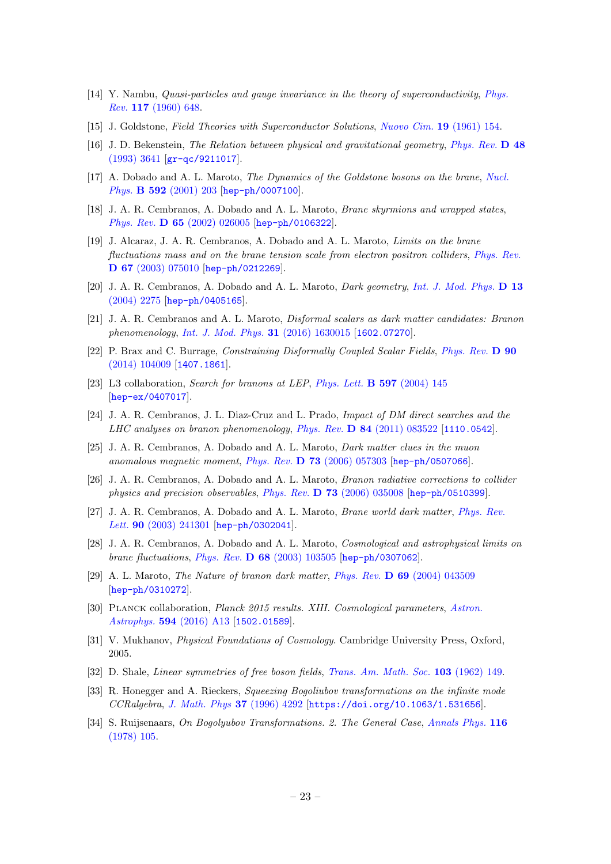- <span id="page-23-0"></span>[14] Y. Nambu, Quasi-particles and gauge invariance in the theory of superconductivity, [Phys.](https://doi.org/10.1103/PhysRev.117.648) Rev. 117 [\(1960\) 648.](https://doi.org/10.1103/PhysRev.117.648)
- <span id="page-23-1"></span>[15] J. Goldstone, Field Theories with Superconductor Solutions, [Nuovo Cim.](https://doi.org/10.1007/BF02812722) 19 (1961) 154.
- <span id="page-23-2"></span>[16] J. D. Bekenstein, The Relation between physical and gravitational geometry, [Phys. Rev.](https://doi.org/10.1103/PhysRevD.48.3641) D 48 [\(1993\) 3641](https://doi.org/10.1103/PhysRevD.48.3641) [[gr-qc/9211017](https://arxiv.org/abs/gr-qc/9211017)].
- <span id="page-23-3"></span>[17] A. Dobado and A. L. Maroto, The Dynamics of the Goldstone bosons on the brane, [Nucl.](https://doi.org/10.1016/S0550-3213(00)00574-5) Phys. B 592 [\(2001\) 203](https://doi.org/10.1016/S0550-3213(00)00574-5) [[hep-ph/0007100](https://arxiv.org/abs/hep-ph/0007100)].
- [18] J. A. R. Cembranos, A. Dobado and A. L. Maroto, Brane skyrmions and wrapped states, Phys. Rev. D 65 [\(2002\) 026005](https://doi.org/10.1103/PhysRevD.65.026005) [[hep-ph/0106322](https://arxiv.org/abs/hep-ph/0106322)].
- <span id="page-23-5"></span>[19] J. Alcaraz, J. A. R. Cembranos, A. Dobado and A. L. Maroto, Limits on the brane fluctuations mass and on the brane tension scale from electron positron colliders, [Phys. Rev.](https://doi.org/10.1103/PhysRevD.67.075010) D 67 [\(2003\) 075010](https://doi.org/10.1103/PhysRevD.67.075010) [[hep-ph/0212269](https://arxiv.org/abs/hep-ph/0212269)].
- [20] J. A. R. Cembranos, A. Dobado and A. L. Maroto, Dark geometry, [Int. J. Mod. Phys.](https://doi.org/10.1142/S0218271804006322) D 13 [\(2004\) 2275](https://doi.org/10.1142/S0218271804006322) [[hep-ph/0405165](https://arxiv.org/abs/hep-ph/0405165)].
- <span id="page-23-4"></span>[21] J. A. R. Cembranos and A. L. Maroto, Disformal scalars as dark matter candidates: Branon phenomenology, [Int. J. Mod. Phys.](https://doi.org/10.1142/S0217751X16300155) 31 (2016) 1630015 [[1602.07270](https://arxiv.org/abs/1602.07270)].
- <span id="page-23-6"></span>[22] P. Brax and C. Burrage, Constraining Disformally Coupled Scalar Fields, [Phys. Rev.](https://doi.org/10.1103/PhysRevD.90.104009) D 90 [\(2014\) 104009](https://doi.org/10.1103/PhysRevD.90.104009) [[1407.1861](https://arxiv.org/abs/1407.1861)].
- [23] L3 collaboration, Search for branons at LEP, [Phys. Lett.](https://doi.org/10.1016/j.physletb.2004.07.014) **B 597** (2004) 145 [[hep-ex/0407017](https://arxiv.org/abs/hep-ex/0407017)].
- <span id="page-23-7"></span>[24] J. A. R. Cembranos, J. L. Diaz-Cruz and L. Prado, Impact of DM direct searches and the LHC analyses on branon phenomenology, Phys. Rev.  $\bf{D} 84$  [\(2011\) 083522](https://doi.org/10.1103/PhysRevD.84.083522) [[1110.0542](https://arxiv.org/abs/1110.0542)].
- <span id="page-23-9"></span>[25] J. A. R. Cembranos, A. Dobado and A. L. Maroto, Dark matter clues in the muon anomalous magnetic moment, Phys. Rev. D 73 [\(2006\) 057303](https://doi.org/10.1103/PhysRevD.73.057303) [[hep-ph/0507066](https://arxiv.org/abs/hep-ph/0507066)].
- <span id="page-23-8"></span>[26] J. A. R. Cembranos, A. Dobado and A. L. Maroto, Branon radiative corrections to collider physics and precision observables, Phys. Rev. D 73 [\(2006\) 035008](https://doi.org/10.1103/PhysRevD.73.035008) [[hep-ph/0510399](https://arxiv.org/abs/hep-ph/0510399)].
- <span id="page-23-10"></span>[27] J. A. R. Cembranos, A. Dobado and A. L. Maroto, Brane world dark matter, [Phys. Rev.](https://doi.org/10.1103/PhysRevLett.90.241301) Lett. **90** [\(2003\) 241301](https://doi.org/10.1103/PhysRevLett.90.241301) [[hep-ph/0302041](https://arxiv.org/abs/hep-ph/0302041)].
- [28] J. A. R. Cembranos, A. Dobado and A. L. Maroto, Cosmological and astrophysical limits on brane fluctuations, Phys. Rev. D 68 [\(2003\) 103505](https://doi.org/10.1103/PhysRevD.68.103505) [[hep-ph/0307062](https://arxiv.org/abs/hep-ph/0307062)].
- <span id="page-23-11"></span>[29] A. L. Maroto, The Nature of branon dark matter, Phys. Rev. D 69 [\(2004\) 043509](https://doi.org/10.1103/PhysRevD.69.043509) [[hep-ph/0310272](https://arxiv.org/abs/hep-ph/0310272)].
- <span id="page-23-12"></span>[30] Planck collaboration, Planck 2015 results. XIII. Cosmological parameters, [Astron.](https://doi.org/10.1051/0004-6361/201525830) Astrophys. 594 [\(2016\) A13](https://doi.org/10.1051/0004-6361/201525830) [[1502.01589](https://arxiv.org/abs/1502.01589)].
- <span id="page-23-13"></span>[31] V. Mukhanov, Physical Foundations of Cosmology. Cambridge University Press, Oxford, 2005.
- <span id="page-23-14"></span>[32] D. Shale, *Linear symmetries of free boson fields*, *[Trans. Am. Math. Soc.](https://doi.org/10.2307/1993745)* **103** (1962) 149.
- [33] R. Honegger and A. Rieckers, Squeezing Bogoliubov transformations on the infinite mode CCRalgebra, [J. Math. Phys](https://doi.org/10.1063/1.531656) 37 (1996) 4292 [[https://doi.org/10.1063/1.531656](https://arxiv.org/abs/https://doi.org/10.1063/1.531656)].
- <span id="page-23-15"></span>[34] S. Ruijsenaars, On Bogolyubov Transformations. 2. The General Case, [Annals Phys.](https://doi.org/10.1016/0003-4916(78)90006-4) 116 [\(1978\) 105.](https://doi.org/10.1016/0003-4916(78)90006-4)